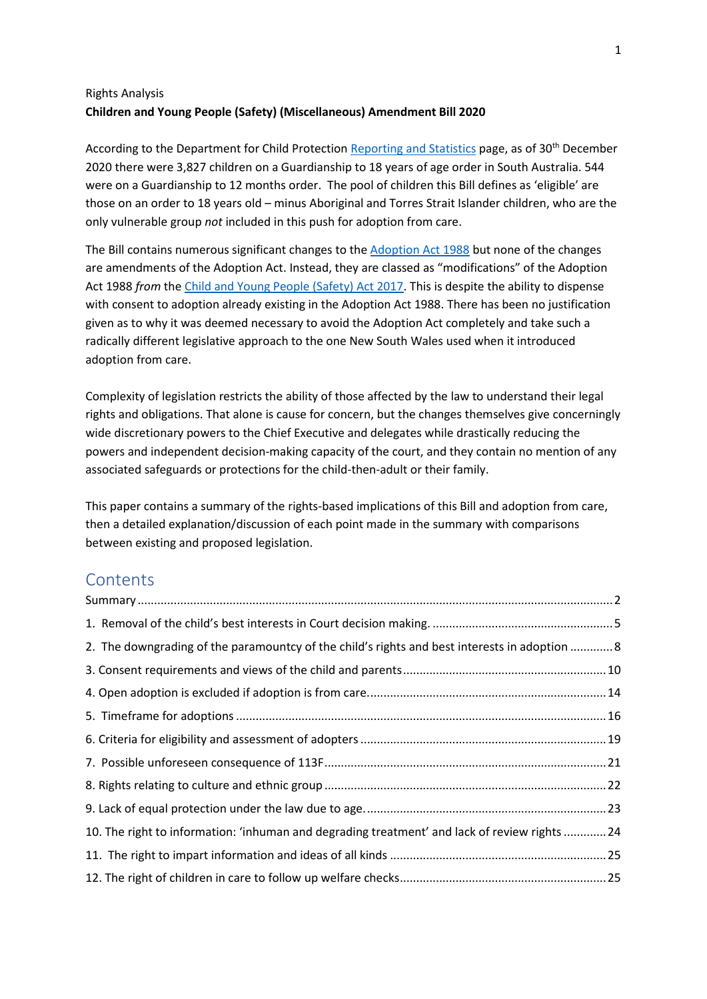### Rights Analysis **Children and Young People (Safety) (Miscellaneous) Amendment Bill 2020**

According to the Department for Child Protection [Reporting and Statistics](https://www.childprotection.sa.gov.au/department/reporting-and-statistics) page, as of 30<sup>th</sup> December 2020 there were 3,827 children on a Guardianship to 18 years of age order in South Australia. 544 were on a Guardianship to 12 months order. The pool of children this Bill defines as 'eligible' are those on an order to 18 years old – minus Aboriginal and Torres Strait Islander children, who are the only vulnerable group *not* included in this push for adoption from care.

The Bill contains numerous significant changes to the **Adoption Act 1988** but none of the changes are amendments of the Adoption Act. Instead, they are classed as "modifications" of the Adoption Act 1988 *from* th[e Child and Young People \(Safety\) Act 2017.](http://classic.austlii.edu.au/au/legis/sa/consol_act/caypa2017312/) This is despite the ability to dispense with consent to adoption already existing in the Adoption Act 1988. There has been no justification given as to why it was deemed necessary to avoid the Adoption Act completely and take such a radically different legislative approach to the one New South Wales used when it introduced adoption from care.

Complexity of legislation restricts the ability of those affected by the law to understand their legal rights and obligations. That alone is cause for concern, but the changes themselves give concerningly wide discretionary powers to the Chief Executive and delegates while drastically reducing the powers and independent decision-making capacity of the court, and they contain no mention of any associated safeguards or protections for the child-then-adult or their family.

This paper contains a summary of the rights-based implications of this Bill and adoption from care, then a detailed explanation/discussion of each point made in the summary with comparisons between existing and proposed legislation.

## **Contents**

| 2. The downgrading of the paramountcy of the child's rights and best interests in adoption  8 |  |
|-----------------------------------------------------------------------------------------------|--|
|                                                                                               |  |
|                                                                                               |  |
|                                                                                               |  |
|                                                                                               |  |
|                                                                                               |  |
|                                                                                               |  |
|                                                                                               |  |
| 10. The right to information: 'inhuman and degrading treatment' and lack of review rights 24  |  |
|                                                                                               |  |
|                                                                                               |  |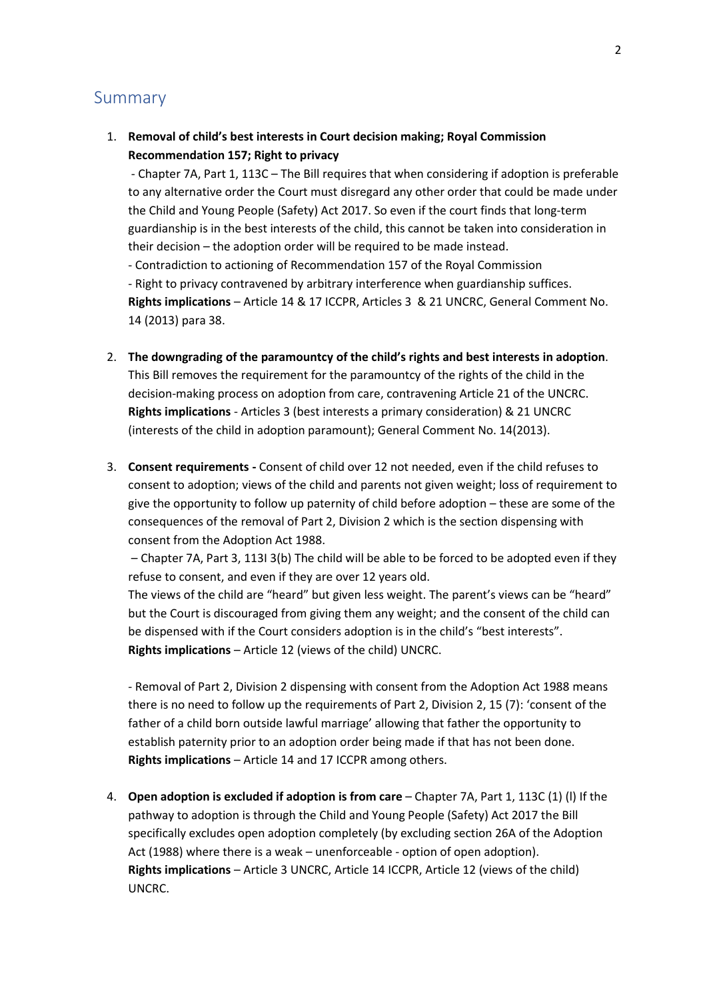### <span id="page-1-0"></span>Summary

1. **Removal of child's best interests in Court decision making; Royal Commission Recommendation 157; Right to privacy**

- Chapter 7A, Part 1, 113C – The Bill requires that when considering if adoption is preferable to any alternative order the Court must disregard any other order that could be made under the Child and Young People (Safety) Act 2017. So even if the court finds that long-term guardianship is in the best interests of the child, this cannot be taken into consideration in their decision – the adoption order will be required to be made instead.

- Contradiction to actioning of Recommendation 157 of the Royal Commission

- Right to privacy contravened by arbitrary interference when guardianship suffices. **Rights implications** – Article 14 & 17 ICCPR, Articles 3 & 21 UNCRC, General Comment No. 14 (2013) para 38.

- 2. **The downgrading of the paramountcy of the child's rights and best interests in adoption**. This Bill removes the requirement for the paramountcy of the rights of the child in the decision-making process on adoption from care, contravening Article 21 of the UNCRC. **Rights implications** - Articles 3 (best interests a primary consideration) & 21 UNCRC (interests of the child in adoption paramount); General Comment No. 14(2013).
- 3. **Consent requirements -** Consent of child over 12 not needed, even if the child refuses to consent to adoption; views of the child and parents not given weight; loss of requirement to give the opportunity to follow up paternity of child before adoption – these are some of the consequences of the removal of Part 2, Division 2 which is the section dispensing with consent from the Adoption Act 1988.

– Chapter 7A, Part 3, 113I 3(b) The child will be able to be forced to be adopted even if they refuse to consent, and even if they are over 12 years old.

The views of the child are "heard" but given less weight. The parent's views can be "heard" but the Court is discouraged from giving them any weight; and the consent of the child can be dispensed with if the Court considers adoption is in the child's "best interests". **Rights implications** – Article 12 (views of the child) UNCRC.

- Removal of Part 2, Division 2 dispensing with consent from the Adoption Act 1988 means there is no need to follow up the requirements of Part 2, Division 2, 15 (7): 'consent of the father of a child born outside lawful marriage' allowing that father the opportunity to establish paternity prior to an adoption order being made if that has not been done. **Rights implications** – Article 14 and 17 ICCPR among others.

4. **Open adoption is excluded if adoption is from care** – Chapter 7A, Part 1, 113C (1) (l) If the pathway to adoption is through the Child and Young People (Safety) Act 2017 the Bill specifically excludes open adoption completely (by excluding section 26A of the Adoption Act (1988) where there is a weak – unenforceable - option of open adoption). **Rights implications** – Article 3 UNCRC, Article 14 ICCPR, Article 12 (views of the child) UNCRC.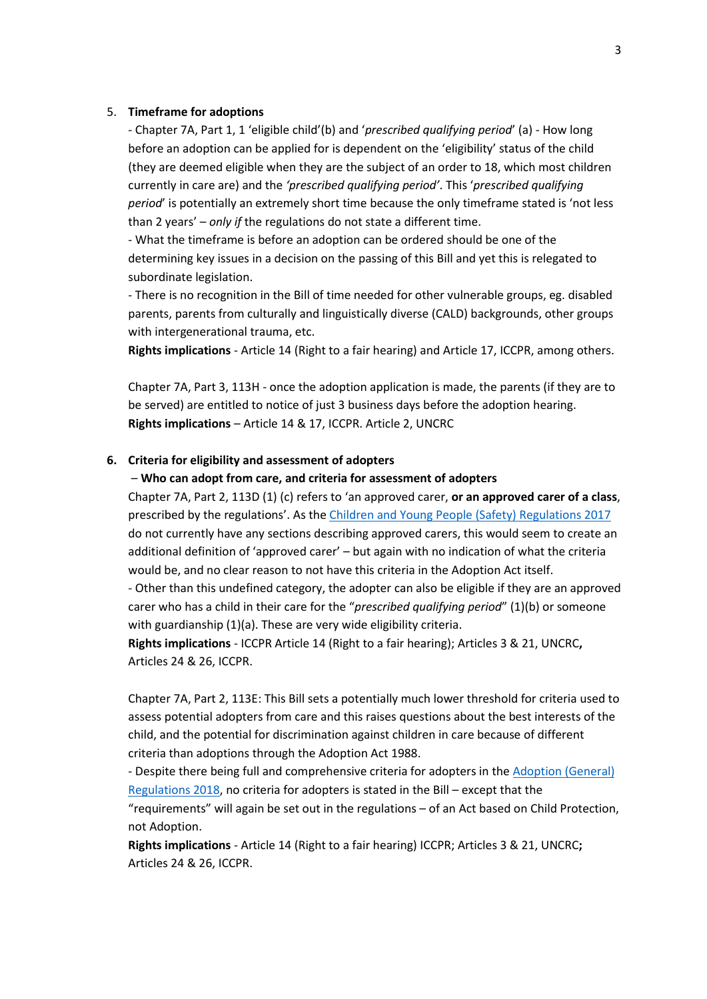#### 5. **Timeframe for adoptions**

- Chapter 7A, Part 1, 1 'eligible child'(b) and '*prescribed qualifying period*' (a) - How long before an adoption can be applied for is dependent on the 'eligibility' status of the child (they are deemed eligible when they are the subject of an order to 18, which most children currently in care are) and the *'prescribed qualifying period'*. This '*prescribed qualifying period*' is potentially an extremely short time because the only timeframe stated is 'not less than 2 years' – *only if* the regulations do not state a different time.

- What the timeframe is before an adoption can be ordered should be one of the determining key issues in a decision on the passing of this Bill and yet this is relegated to subordinate legislation.

- There is no recognition in the Bill of time needed for other vulnerable groups, eg. disabled parents, parents from culturally and linguistically diverse (CALD) backgrounds, other groups with intergenerational trauma, etc.

**Rights implications** - Article 14 (Right to a fair hearing) and Article 17, ICCPR, among others.

Chapter 7A, Part 3, 113H - once the adoption application is made, the parents (if they are to be served) are entitled to notice of just 3 business days before the adoption hearing. **Rights implications** – Article 14 & 17, ICCPR. Article 2, UNCRC

#### **6. Criteria for eligibility and assessment of adopters**

– **Who can adopt from care, and criteria for assessment of adopters**

Chapter 7A, Part 2, 113D (1) (c) refers to 'an approved carer, **or an approved carer of a class**, prescribed by the regulations'. As th[e Children and Young People \(Safety\) Regulations 2017](http://classic.austlii.edu.au/au/legis/sa/consol_reg/caypr2017421/) do not currently have any sections describing approved carers, this would seem to create an additional definition of 'approved carer' – but again with no indication of what the criteria would be, and no clear reason to not have this criteria in the Adoption Act itself.

- Other than this undefined category, the adopter can also be eligible if they are an approved carer who has a child in their care for the "*prescribed qualifying period*" (1)(b) or someone with guardianship (1)(a). These are very wide eligibility criteria.

**Rights implications** - ICCPR Article 14 (Right to a fair hearing); Articles 3 & 21, UNCRC**,**  Articles 24 & 26, ICCPR.

Chapter 7A, Part 2, 113E: This Bill sets a potentially much lower threshold for criteria used to assess potential adopters from care and this raises questions about the best interests of the child, and the potential for discrimination against children in care because of different criteria than adoptions through the Adoption Act 1988.

- Despite there being full and comprehensive criteria for adopters in the [Adoption \(General\)](https://www.legislation.sa.gov.au/LZ/C/R/Adoption%20(General)%20Regulations%202018.aspx)  [Regulations 2018,](https://www.legislation.sa.gov.au/LZ/C/R/Adoption%20(General)%20Regulations%202018.aspx) no criteria for adopters is stated in the Bill – except that the "requirements" will again be set out in the regulations – of an Act based on Child Protection, not Adoption.

**Rights implications** - Article 14 (Right to a fair hearing) ICCPR; Articles 3 & 21, UNCRC**;**  Articles 24 & 26, ICCPR.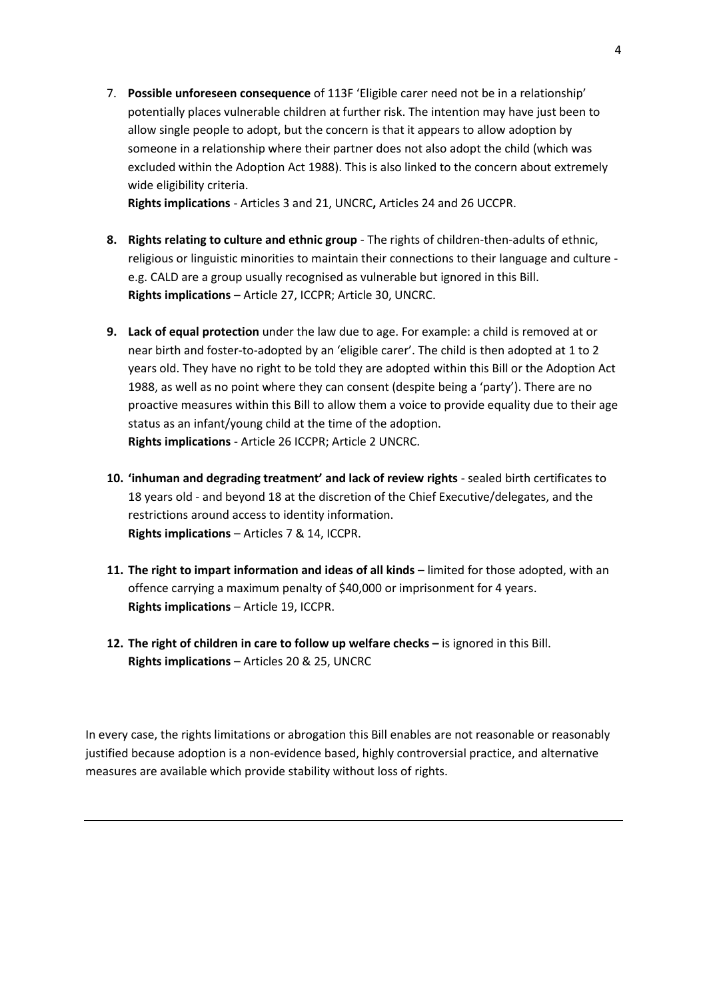7. **Possible unforeseen consequence** of 113F 'Eligible carer need not be in a relationship' potentially places vulnerable children at further risk. The intention may have just been to allow single people to adopt, but the concern is that it appears to allow adoption by someone in a relationship where their partner does not also adopt the child (which was excluded within the Adoption Act 1988). This is also linked to the concern about extremely wide eligibility criteria.

**Rights implications** - Articles 3 and 21, UNCRC**,** Articles 24 and 26 UCCPR.

- **8. Rights relating to culture and ethnic group** The rights of children-then-adults of ethnic, religious or linguistic minorities to maintain their connections to their language and culture e.g. CALD are a group usually recognised as vulnerable but ignored in this Bill. **Rights implications** – Article 27, ICCPR; Article 30, UNCRC.
- **9. Lack of equal protection** under the law due to age. For example: a child is removed at or near birth and foster-to-adopted by an 'eligible carer'. The child is then adopted at 1 to 2 years old. They have no right to be told they are adopted within this Bill or the Adoption Act 1988, as well as no point where they can consent (despite being a 'party'). There are no proactive measures within this Bill to allow them a voice to provide equality due to their age status as an infant/young child at the time of the adoption. **Rights implications** - Article 26 ICCPR; Article 2 UNCRC.
- **10. 'inhuman and degrading treatment' and lack of review rights**  sealed birth certificates to 18 years old - and beyond 18 at the discretion of the Chief Executive/delegates, and the restrictions around access to identity information. **Rights implications** – Articles 7 & 14, ICCPR.
- **11. The right to impart information and ideas of all kinds** limited for those adopted, with an offence carrying a maximum penalty of \$40,000 or imprisonment for 4 years. **Rights implications** – Article 19, ICCPR.
- 12. The right of children in care to follow up welfare checks is ignored in this Bill. **Rights implications** – Articles 20 & 25, UNCRC

In every case, the rights limitations or abrogation this Bill enables are not reasonable or reasonably justified because adoption is a non-evidence based, highly controversial practice, and alternative measures are available which provide stability without loss of rights.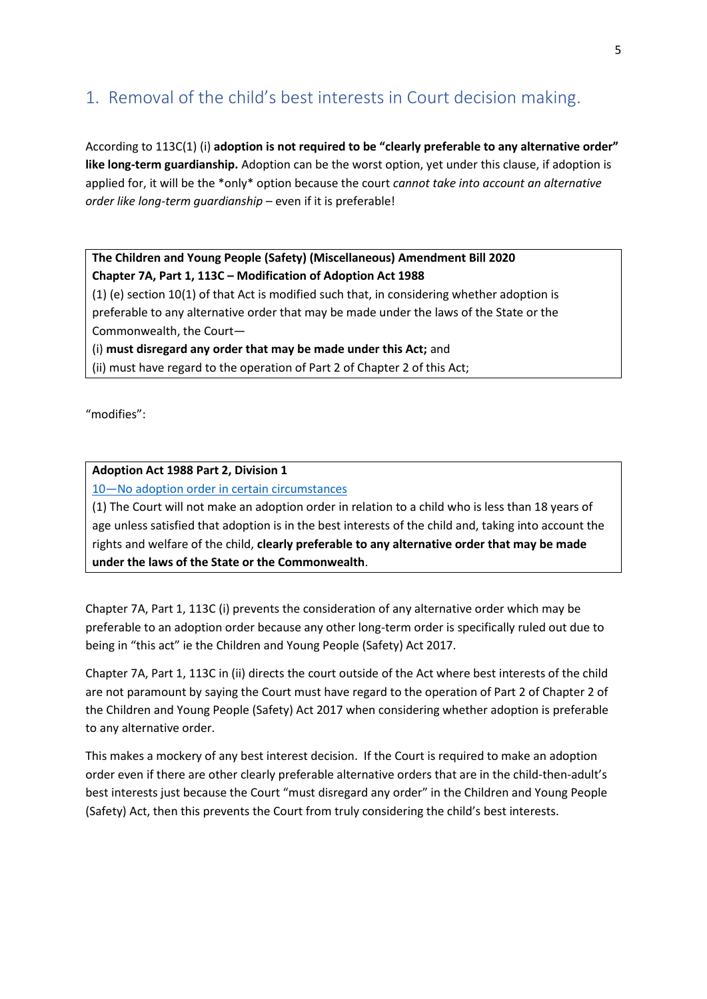## <span id="page-4-0"></span>1. Removal of the child's best interests in Court decision making.

According to 113C(1) (i) **adoption is not required to be "clearly preferable to any alternative order" like long-term guardianship.** Adoption can be the worst option, yet under this clause, if adoption is applied for, it will be the \*only\* option because the court *cannot take into account an alternative order like long-term guardianship* – even if it is preferable!

### **The Children and Young People (Safety) (Miscellaneous) Amendment Bill 2020 Chapter 7A, Part 1, 113C – Modification of Adoption Act 1988**

(1) (e) section 10(1) of that Act is modified such that, in considering whether adoption is preferable to any alternative order that may be made under the laws of the State or the Commonwealth, the Court—

(i) **must disregard any order that may be made under this Act;** and

(ii) must have regard to the operation of Part 2 of Chapter 2 of this Act;

"modifies":

#### **Adoption Act 1988 Part 2, Division 1**

10-[No adoption order in certain circumstances](http://www5.austlii.edu.au/au/legis/sa/consol_act/aa1988107/s10.html)

(1) The Court will not make an adoption order in relation to a child who is less than 18 years of age unless satisfied that adoption is in the best interests of the child and, taking into account the rights and welfare of the child, **clearly preferable to any alternative order that may be made under the laws of the State or the Commonwealth**.

Chapter 7A, Part 1, 113C (i) prevents the consideration of any alternative order which may be preferable to an adoption order because any other long-term order is specifically ruled out due to being in "this act" ie the Children and Young People (Safety) Act 2017.

Chapter 7A, Part 1, 113C in (ii) directs the court outside of the Act where best interests of the child are not paramount by saying the Court must have regard to the operation of Part 2 of Chapter 2 of the Children and Young People (Safety) Act 2017 when considering whether adoption is preferable to any alternative order.

This makes a mockery of any best interest decision. If the Court is required to make an adoption order even if there are other clearly preferable alternative orders that are in the child-then-adult's best interests just because the Court "must disregard any order" in the Children and Young People (Safety) Act, then this prevents the Court from truly considering the child's best interests.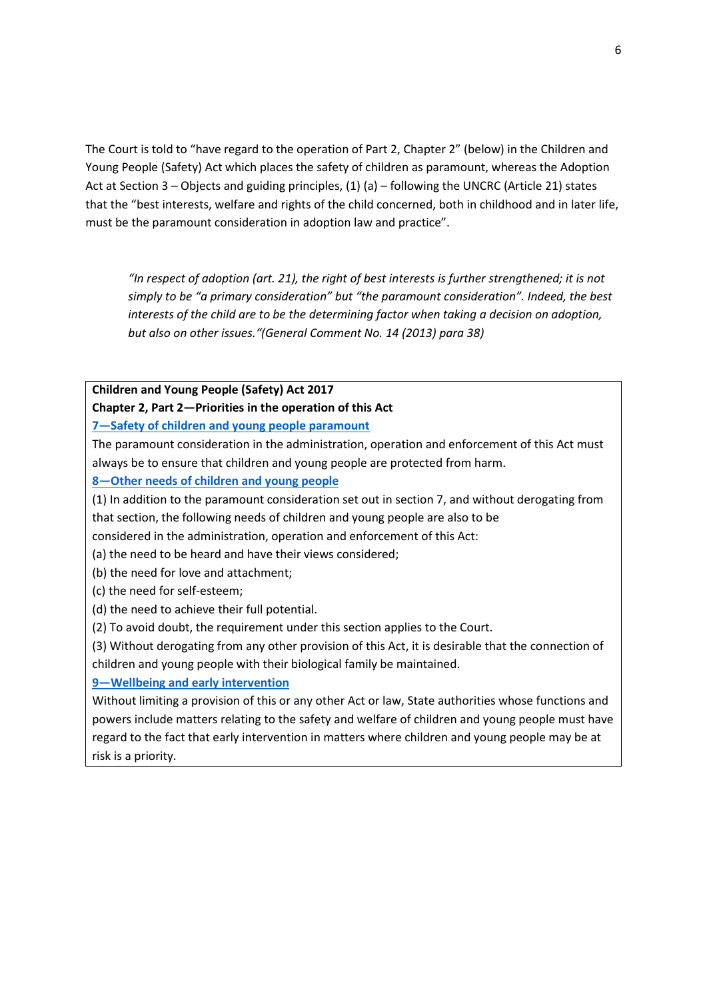The Court is told to "have regard to the operation of Part 2, Chapter 2" (below) in the Children and Young People (Safety) Act which places the safety of children as paramount, whereas the Adoption Act at Section 3 – Objects and guiding principles, (1) (a) – following the UNCRC (Article 21) states that the "best interests, welfare and rights of the child concerned, both in childhood and in later life, must be the paramount consideration in adoption law and practice".

*"In respect of adoption (art. 21), the right of best interests is further strengthened; it is not simply to be "a primary consideration" but "the paramount consideration". Indeed, the best interests of the child are to be the determining factor when taking a decision on adoption, but also on other issues."(General Comment No. 14 (2013) para 38)*

#### **Children and Young People (Safety) Act 2017**

#### **Chapter 2, Part 2—Priorities in the operation of this Act**

#### **7—[Safety of children and young people paramount](http://classic.austlii.edu.au/au/legis/sa/consol_act/caypa2017312/s7.html)**

The paramount consideration in the administration, operation and enforcement of this Act must always be to ensure that children and young people are protected from harm.

**8—[Other needs of children and young people](http://classic.austlii.edu.au/au/legis/sa/consol_act/caypa2017312/s8.html)**

(1) In addition to the paramount consideration set out in section 7, and without derogating from that section, the following needs of children and young people are also to be

considered in the administration, operation and enforcement of this Act:

(a) the need to be heard and have their views considered;

- (b) the need for love and attachment;
- (c) the need for self-esteem;
- (d) the need to achieve their full potential.
- (2) To avoid doubt, the requirement under this section applies to the Court.

(3) Without derogating from any other provision of this Act, it is desirable that the connection of children and young people with their biological family be maintained.

#### **9—[Wellbeing and early intervention](http://classic.austlii.edu.au/au/legis/sa/consol_act/caypa2017312/s9.html)**

Without limiting a provision of this or any other Act or law, State authorities whose functions and powers include matters relating to the safety and welfare of children and young people must have regard to the fact that early intervention in matters where children and young people may be at risk is a priority.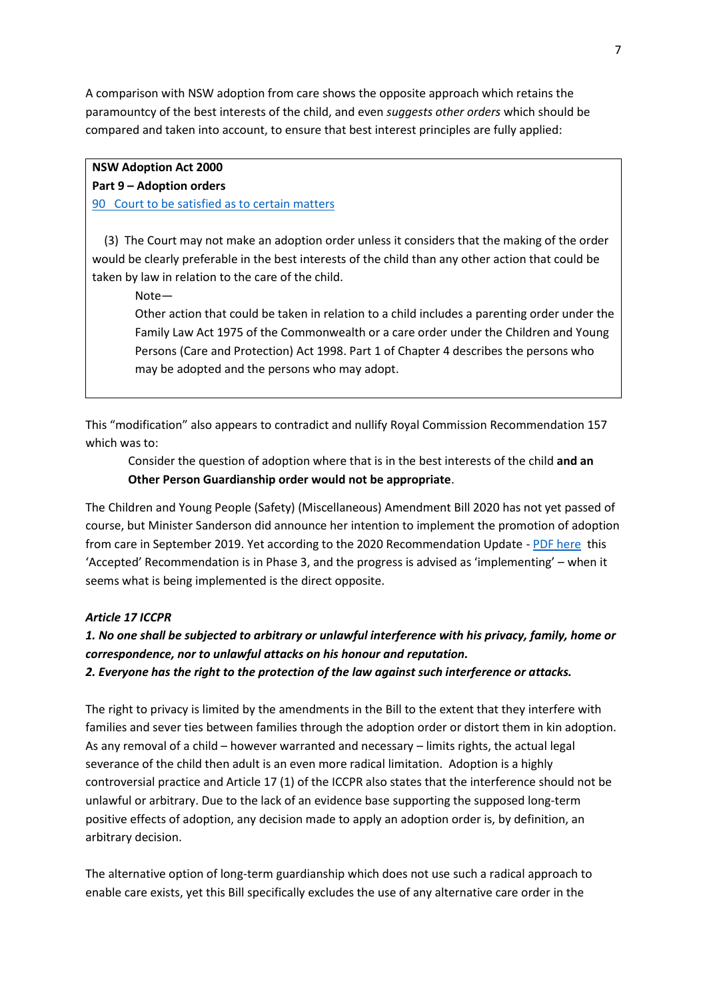A comparison with NSW adoption from care shows the opposite approach which retains the paramountcy of the best interests of the child, and even *suggests other orders* which should be compared and taken into account, to ensure that best interest principles are fully applied:

#### **NSW Adoption Act 2000**

#### **Part 9 – Adoption orders**

[90 Court to be satisfied as to certain matters](https://www.legislation.nsw.gov.au/view/whole/html/inforce/current/act-2000-075#sec.90)

 (3) The Court may not make an adoption order unless it considers that the making of the order would be clearly preferable in the best interests of the child than any other action that could be taken by law in relation to the care of the child.

Note—

Other action that could be taken in relation to a child includes a parenting order under the Family Law Act 1975 of the Commonwealth or a care order under the Children and Young Persons (Care and Protection) Act 1998. Part 1 of Chapter 4 describes the persons who may be adopted and the persons who may adopt.

This "modification" also appears to contradict and nullify Royal Commission Recommendation 157 which was to:

Consider the question of adoption where that is in the best interests of the child **and an Other Person Guardianship order would not be appropriate**.

The Children and Young People (Safety) (Miscellaneous) Amendment Bill 2020 has not yet passed of course, but Minister Sanderson did announce her intention to implement the promotion of adoption from care in September 2019. Yet according to the 2020 Recommendation Update - [PDF here](https://www.childprotection.sa.gov.au/child-protection-initiatives/system-reform/safe-and-well) this 'Accepted' Recommendation is in Phase 3, and the progress is advised as 'implementing' – when it seems what is being implemented is the direct opposite.

#### *Article 17 ICCPR*

## *1. No one shall be subjected to arbitrary or unlawful interference with his privacy, family, home or correspondence, nor to unlawful attacks on his honour and reputation.*

*2. Everyone has the right to the protection of the law against such interference or attacks.*

The right to privacy is limited by the amendments in the Bill to the extent that they interfere with families and sever ties between families through the adoption order or distort them in kin adoption. As any removal of a child – however warranted and necessary – limits rights, the actual legal severance of the child then adult is an even more radical limitation. Adoption is a highly controversial practice and Article 17 (1) of the ICCPR also states that the interference should not be unlawful or arbitrary. Due to the lack of an evidence base supporting the supposed long-term positive effects of adoption, any decision made to apply an adoption order is, by definition, an arbitrary decision.

The alternative option of long-term guardianship which does not use such a radical approach to enable care exists, yet this Bill specifically excludes the use of any alternative care order in the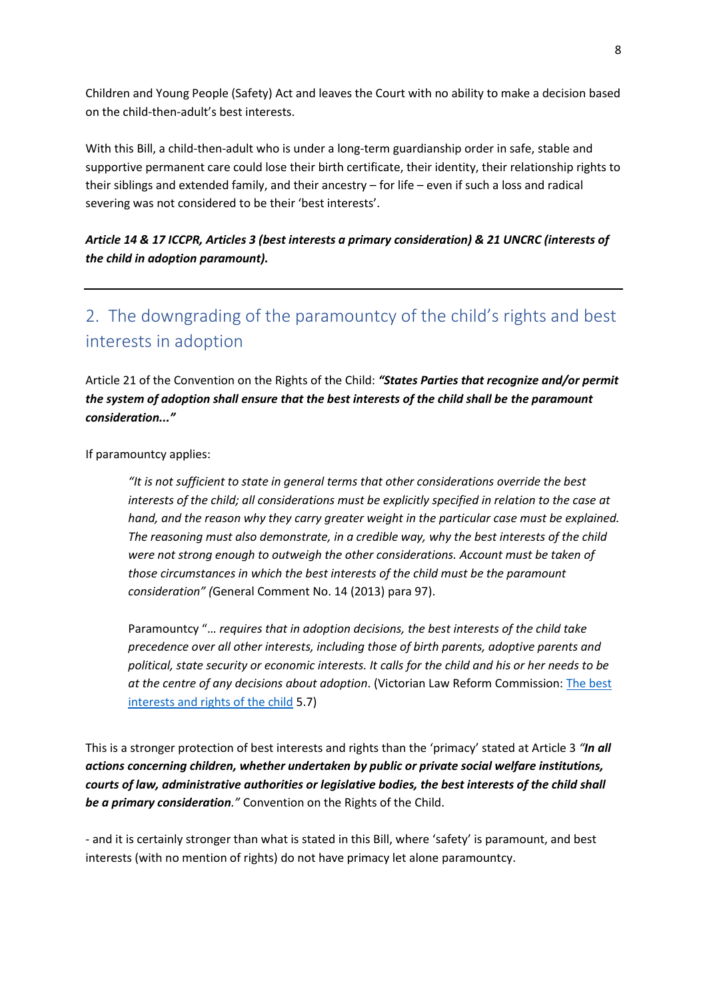Children and Young People (Safety) Act and leaves the Court with no ability to make a decision based on the child-then-adult's best interests.

With this Bill, a child-then-adult who is under a long-term guardianship order in safe, stable and supportive permanent care could lose their birth certificate, their identity, their relationship rights to their siblings and extended family, and their ancestry – for life – even if such a loss and radical severing was not considered to be their 'best interests'.

*Article 14 & 17 ICCPR, Articles 3 (best interests a primary consideration) & 21 UNCRC (interests of the child in adoption paramount).* 

# <span id="page-7-0"></span>2. The downgrading of the paramountcy of the child's rights and best interests in adoption

Article 21 of the Convention on the Rights of the Child: *"States Parties that recognize and/or permit the system of adoption shall ensure that the best interests of the child shall be the paramount consideration..."*

If paramountcy applies:

*"It is not sufficient to state in general terms that other considerations override the best interests of the child; all considerations must be explicitly specified in relation to the case at hand, and the reason why they carry greater weight in the particular case must be explained. The reasoning must also demonstrate, in a credible way, why the best interests of the child were not strong enough to outweigh the other considerations. Account must be taken of those circumstances in which the best interests of the child must be the paramount consideration" (*General Comment No. 14 (2013) para 97).

Paramountcy "… *requires that in adoption decisions, the best interests of the child take precedence over all other interests, including those of birth parents, adoptive parents and political, state security or economic interests. It calls for the child and his or her needs to be at the centre of any decisions about adoption*. (Victorian Law Reform Commission: [The best](https://www.lawreform.vic.gov.au/content/5-best-interests-and-rights-child)  [interests and rights of the child](https://www.lawreform.vic.gov.au/content/5-best-interests-and-rights-child) 5.7)

This is a stronger protection of best interests and rights than the 'primacy' stated at Article 3 *"In all actions concerning children, whether undertaken by public or private social welfare institutions, courts of law, administrative authorities or legislative bodies, the best interests of the child shall be a primary consideration."* Convention on the Rights of the Child.

- and it is certainly stronger than what is stated in this Bill, where 'safety' is paramount, and best interests (with no mention of rights) do not have primacy let alone paramountcy.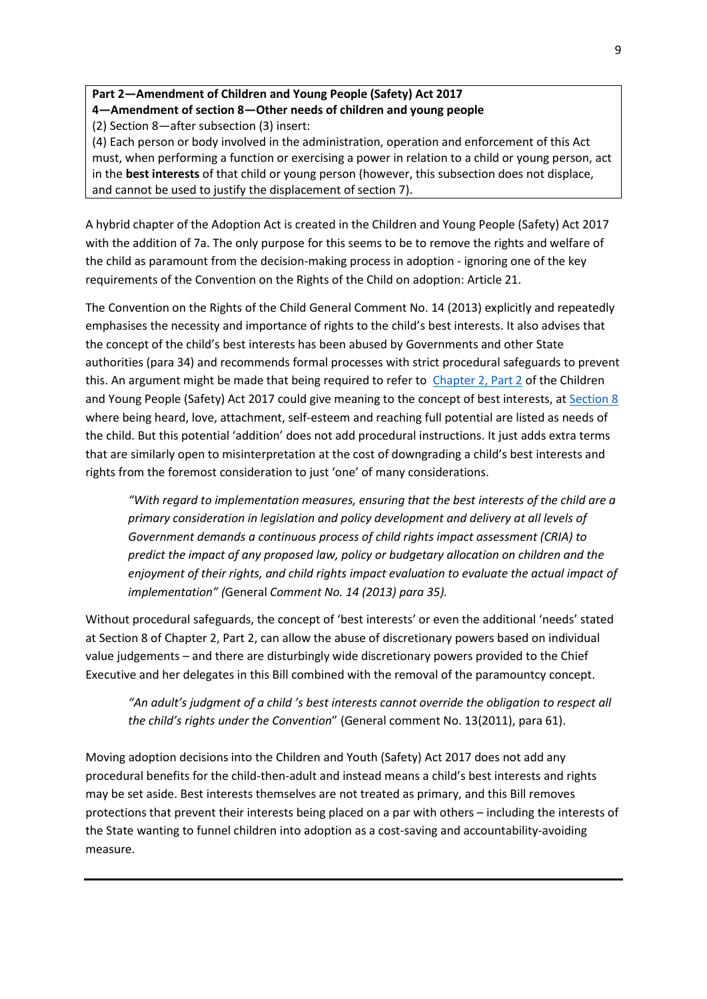## **Part 2—Amendment of Children and Young People (Safety) Act 2017 4—Amendment of section 8—Other needs of children and young people**

(2) Section 8—after subsection (3) insert:

(4) Each person or body involved in the administration, operation and enforcement of this Act must, when performing a function or exercising a power in relation to a child or young person, act in the **best interests** of that child or young person (however, this subsection does not displace, and cannot be used to justify the displacement of section 7).

A hybrid chapter of the Adoption Act is created in the Children and Young People (Safety) Act 2017 with the addition of 7a. The only purpose for this seems to be to remove the rights and welfare of the child as paramount from the decision-making process in adoption - ignoring one of the key requirements of the Convention on the Rights of the Child on adoption: Article 21.

The Convention on the Rights of the Child General Comment No. 14 (2013) explicitly and repeatedly emphasises the necessity and importance of rights to the child's best interests. It also advises that the concept of the child's best interests has been abused by Governments and other State authorities (para 34) and recommends formal processes with strict procedural safeguards to prevent this. An argument might be made that being required to refer to [Chapter 2, Part 2](http://classic.austlii.edu.au/au/legis/sa/consol_act/caypa2017312/) of the Children and Young People (Safety) Act 2017 could give meaning to the concept of best interests, a[t Section 8](http://classic.austlii.edu.au/au/legis/sa/consol_act/caypa2017312/s8.html)  where being heard, love, attachment, self-esteem and reaching full potential are listed as needs of the child. But this potential 'addition' does not add procedural instructions. It just adds extra terms that are similarly open to misinterpretation at the cost of downgrading a child's best interests and rights from the foremost consideration to just 'one' of many considerations.

*"With regard to implementation measures, ensuring that the best interests of the child are a primary consideration in legislation and policy development and delivery at all levels of Government demands a continuous process of child rights impact assessment (CRIA) to predict the impact of any proposed law, policy or budgetary allocation on children and the enjoyment of their rights, and child rights impact evaluation to evaluate the actual impact of implementation" (*General *Comment No. 14 (2013) para 35).*

Without procedural safeguards, the concept of 'best interests' or even the additional 'needs' stated at Section 8 of Chapter 2, Part 2, can allow the abuse of discretionary powers based on individual value judgements – and there are disturbingly wide discretionary powers provided to the Chief Executive and her delegates in this Bill combined with the removal of the paramountcy concept.

*"An adult's judgment of a child 's best interests cannot override the obligation to respect all the child's rights under the Convention*" (General comment No. 13(2011), para 61).

Moving adoption decisions into the Children and Youth (Safety) Act 2017 does not add any procedural benefits for the child-then-adult and instead means a child's best interests and rights may be set aside. Best interests themselves are not treated as primary, and this Bill removes protections that prevent their interests being placed on a par with others – including the interests of the State wanting to funnel children into adoption as a cost-saving and accountability-avoiding measure.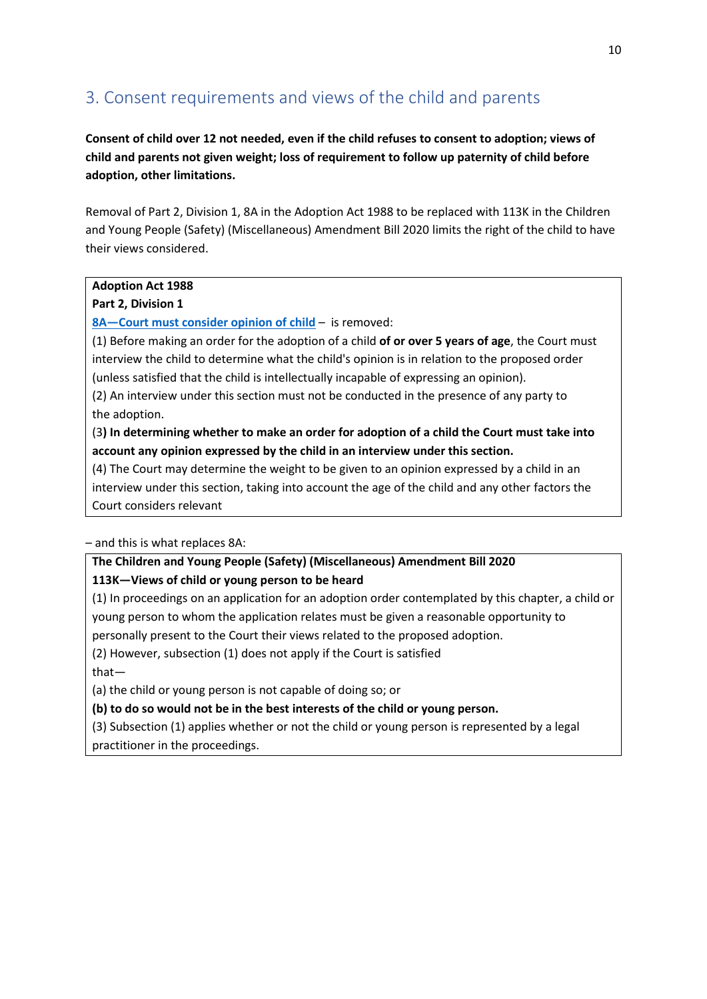## <span id="page-9-0"></span>3. Consent requirements and views of the child and parents

**Consent of child over 12 not needed, even if the child refuses to consent to adoption; views of child and parents not given weight; loss of requirement to follow up paternity of child before adoption, other limitations.**

Removal of Part 2, Division 1, 8A in the Adoption Act 1988 to be replaced with 113K in the Children and Young People (Safety) (Miscellaneous) Amendment Bill 2020 limits the right of the child to have their views considered.

#### **Adoption Act 1988**

#### **Part 2, Division 1**

**8A—[Court must consider opinion of child](http://www5.austlii.edu.au/au/legis/sa/consol_act/aa1988107/s8a.html)** – is removed:

(1) Before making an order for the adoption of a child **of or over 5 years of age**, the Court must interview the child to determine what the child's opinion is in relation to the proposed order (unless satisfied that the child is intellectually incapable of expressing an opinion).

(2) An interview under this section must not be conducted in the presence of any party to the adoption.

(3**) In determining whether to make an order for adoption of a child the Court must take into account any opinion expressed by the child in an interview under this section.**

(4) The Court may determine the weight to be given to an opinion expressed by a child in an interview under this section, taking into account the age of the child and any other factors the Court considers relevant

– and this is what replaces 8A:

#### **The Children and Young People (Safety) (Miscellaneous) Amendment Bill 2020**

#### **113K—Views of child or young person to be heard**

(1) In proceedings on an application for an adoption order contemplated by this chapter, a child or young person to whom the application relates must be given a reasonable opportunity to

personally present to the Court their views related to the proposed adoption.

(2) However, subsection (1) does not apply if the Court is satisfied that—

(a) the child or young person is not capable of doing so; or

**(b) to do so would not be in the best interests of the child or young person.**

(3) Subsection (1) applies whether or not the child or young person is represented by a legal practitioner in the proceedings.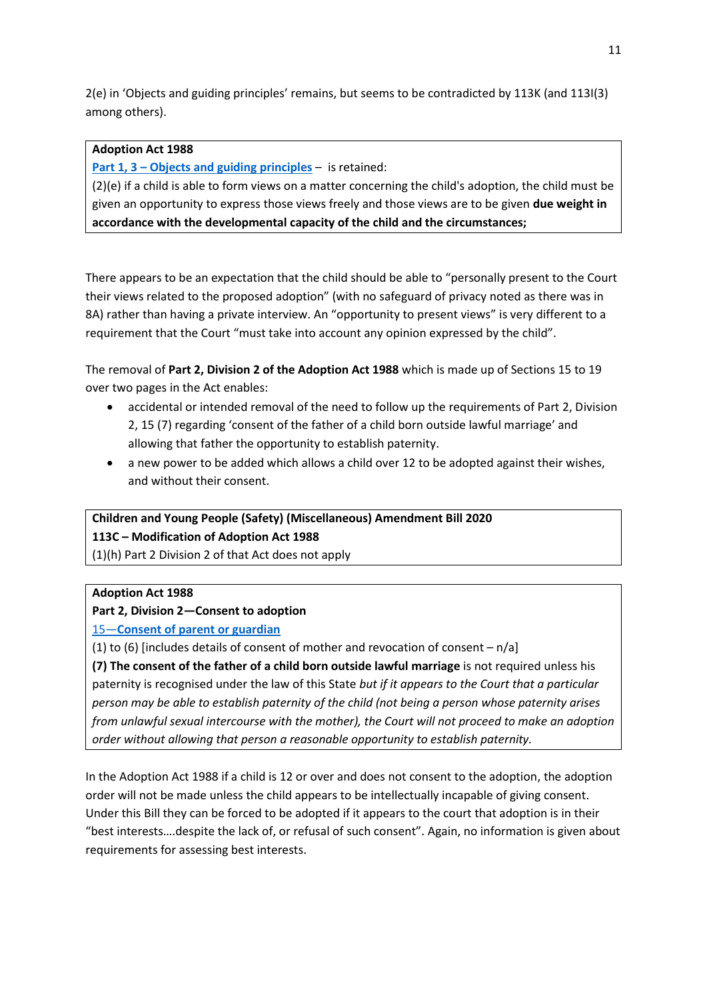2(e) in 'Objects and guiding principles' remains, but seems to be contradicted by 113K (and 113I(3) among others).

#### **Adoption Act 1988**

#### **Part 1, 3 – [Objects and guiding principles](http://www5.austlii.edu.au/au/legis/sa/consol_act/aa1988107/s3.html)** – is retained:

(2)(e) if a child is able to form views on a matter concerning the child's adoption, the child must be given an opportunity to express those views freely and those views are to be given **due weight in accordance with the developmental capacity of the child and the circumstances;**

There appears to be an expectation that the child should be able to "personally present to the Court their views related to the proposed adoption" (with no safeguard of privacy noted as there was in 8A) rather than having a private interview. An "opportunity to present views" is very different to a requirement that the Court "must take into account any opinion expressed by the child".

The removal of **Part 2, Division 2 of the Adoption Act 1988** which is made up of Sections 15 to 19 over two pages in the Act enables:

- accidental or intended removal of the need to follow up the requirements of Part 2, Division 2, 15 (7) regarding 'consent of the father of a child born outside lawful marriage' and allowing that father the opportunity to establish paternity.
- a new power to be added which allows a child over 12 to be adopted against their wishes, and without their consent.

**Children and Young People (Safety) (Miscellaneous) Amendment Bill 2020 113C – Modification of Adoption Act 1988** 

(1)(h) Part 2 Division 2 of that Act does not apply

#### **Adoption Act 1988**

#### **Part 2, Division 2—Consent to adoption**

#### 15—**[Consent of parent or guardian](http://www5.austlii.edu.au/au/legis/sa/consol_act/aa1988107/s15.html)**

(1) to (6) [includes details of consent of mother and revocation of consent  $- n/a$ ]

**(7) The consent of the father of a child born outside lawful marriage** is not required unless his paternity is recognised under the law of this State *but if it appears to the Court that a particular person may be able to establish paternity of the child (not being a person whose paternity arises from unlawful sexual intercourse with the mother), the Court will not proceed to make an adoption order without allowing that person a reasonable opportunity to establish paternity.* 

In the Adoption Act 1988 if a child is 12 or over and does not consent to the adoption, the adoption order will not be made unless the child appears to be intellectually incapable of giving consent. Under this Bill they can be forced to be adopted if it appears to the court that adoption is in their "best interests….despite the lack of, or refusal of such consent". Again, no information is given about requirements for assessing best interests.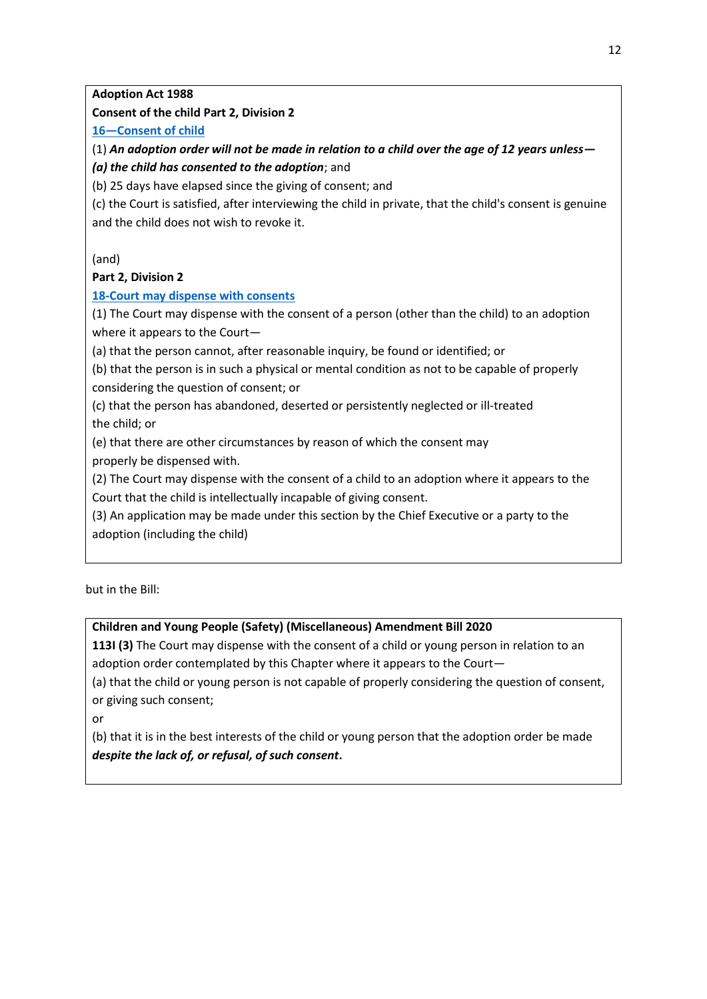**Adoption Act 1988**

**Consent of the child Part 2, Division 2**

**16—[Consent of child](http://www5.austlii.edu.au/au/legis/sa/consol_act/aa1988107/s16.html)**

(1) *An adoption order will not be made in relation to a child over the age of 12 years unless—*

#### *(a) the child has consented to the adoption*; and

(b) 25 days have elapsed since the giving of consent; and

(c) the Court is satisfied, after interviewing the child in private, that the child's consent is genuine and the child does not wish to revoke it.

(and)

#### **Part 2, Division 2**

#### **[18-Court may dispense with consents](http://www5.austlii.edu.au/au/legis/sa/consol_act/aa1988107/s18.html)**

(1) The Court may dispense with the consent of a person (other than the child) to an adoption where it appears to the Court—

(a) that the person cannot, after reasonable inquiry, be found or identified; or

(b) that the person is in such a physical or mental condition as not to be capable of properly considering the question of consent; or

(c) that the person has abandoned, deserted or persistently neglected or ill-treated the child; or

(e) that there are other circumstances by reason of which the consent may

properly be dispensed with.

(2) The Court may dispense with the consent of a child to an adoption where it appears to the

Court that the child is intellectually incapable of giving consent.

(3) An application may be made under this section by the Chief Executive or a party to the adoption (including the child)

but in the Bill:

### **Children and Young People (Safety) (Miscellaneous) Amendment Bill 2020**

**113I (3)** The Court may dispense with the consent of a child or young person in relation to an adoption order contemplated by this Chapter where it appears to the Court—

(a) that the child or young person is not capable of properly considering the question of consent, or giving such consent;

or

(b) that it is in the best interests of the child or young person that the adoption order be made *despite the lack of, or refusal, of such consent***.**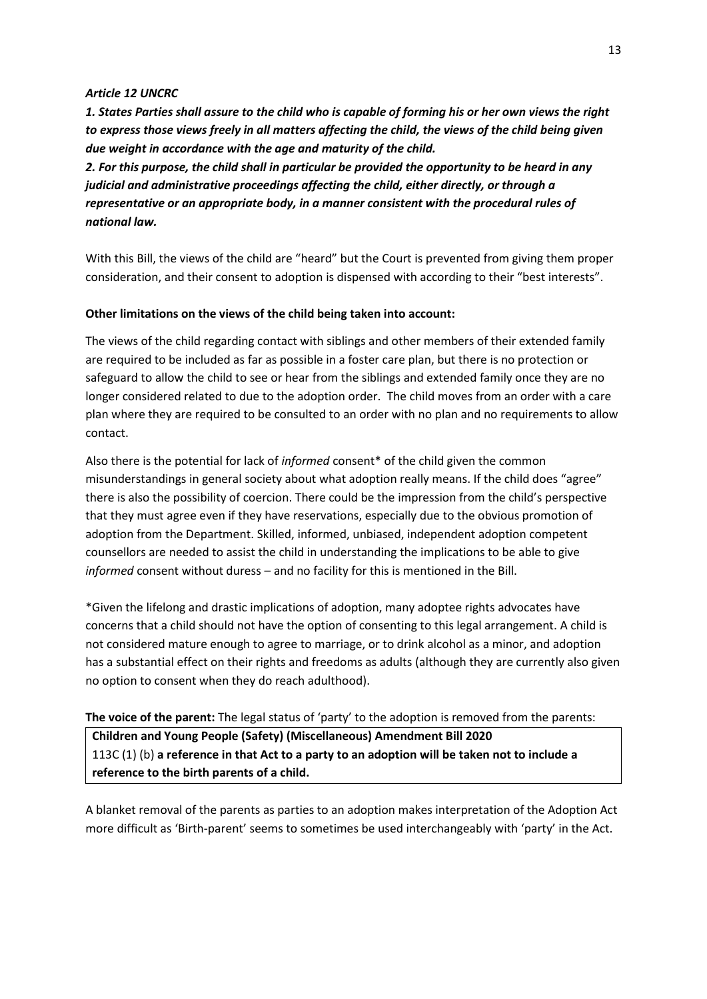#### *Article 12 UNCRC*

*1. States Parties shall assure to the child who is capable of forming his or her own views the right to express those views freely in all matters affecting the child, the views of the child being given due weight in accordance with the age and maturity of the child.* 

*2. For this purpose, the child shall in particular be provided the opportunity to be heard in any judicial and administrative proceedings affecting the child, either directly, or through a representative or an appropriate body, in a manner consistent with the procedural rules of national law.* 

With this Bill, the views of the child are "heard" but the Court is prevented from giving them proper consideration, and their consent to adoption is dispensed with according to their "best interests".

#### **Other limitations on the views of the child being taken into account:**

The views of the child regarding contact with siblings and other members of their extended family are required to be included as far as possible in a foster care plan, but there is no protection or safeguard to allow the child to see or hear from the siblings and extended family once they are no longer considered related to due to the adoption order. The child moves from an order with a care plan where they are required to be consulted to an order with no plan and no requirements to allow contact.

Also there is the potential for lack of *informed* consent\* of the child given the common misunderstandings in general society about what adoption really means. If the child does "agree" there is also the possibility of coercion. There could be the impression from the child's perspective that they must agree even if they have reservations, especially due to the obvious promotion of adoption from the Department. Skilled, informed, unbiased, independent adoption competent counsellors are needed to assist the child in understanding the implications to be able to give *informed* consent without duress – and no facility for this is mentioned in the Bill.

\*Given the lifelong and drastic implications of adoption, many adoptee rights advocates have concerns that a child should not have the option of consenting to this legal arrangement. A child is not considered mature enough to agree to marriage, or to drink alcohol as a minor, and adoption has a substantial effect on their rights and freedoms as adults (although they are currently also given no option to consent when they do reach adulthood).

#### **The voice of the parent:** The legal status of 'party' to the adoption is removed from the parents:

**Children and Young People (Safety) (Miscellaneous) Amendment Bill 2020** 113C (1) (b) **a reference in that Act to a party to an adoption will be taken not to include a reference to the birth parents of a child.**

A blanket removal of the parents as parties to an adoption makes interpretation of the Adoption Act more difficult as 'Birth-parent' seems to sometimes be used interchangeably with 'party' in the Act.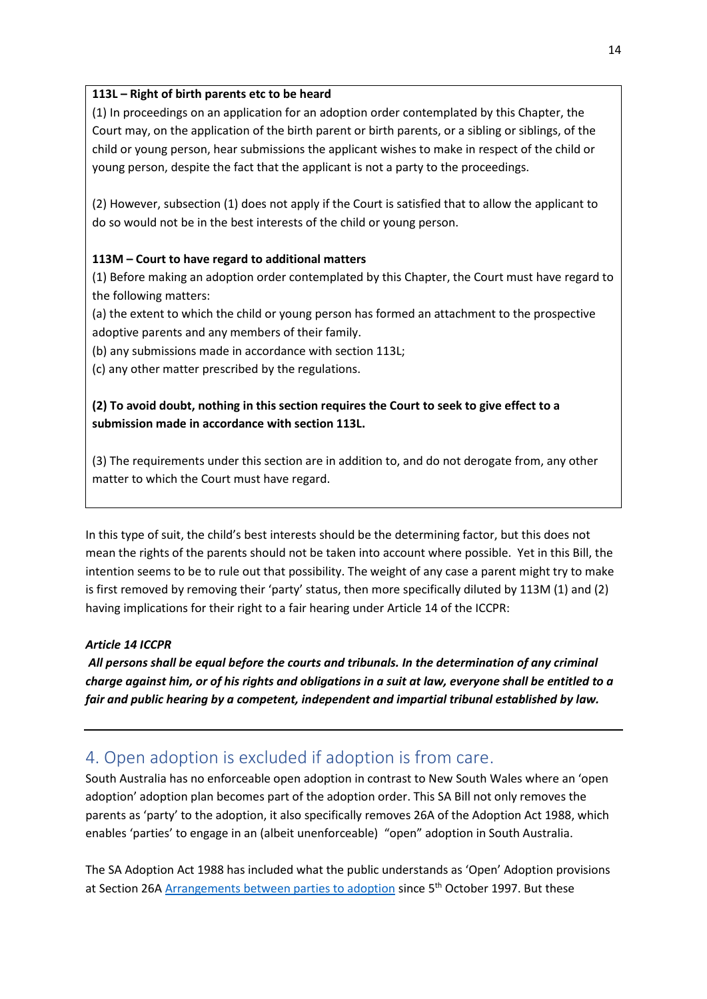#### **113L – Right of birth parents etc to be heard**

(1) In proceedings on an application for an adoption order contemplated by this Chapter, the Court may, on the application of the birth parent or birth parents, or a sibling or siblings, of the child or young person, hear submissions the applicant wishes to make in respect of the child or young person, despite the fact that the applicant is not a party to the proceedings.

(2) However, subsection (1) does not apply if the Court is satisfied that to allow the applicant to do so would not be in the best interests of the child or young person.

#### **113M – Court to have regard to additional matters**

(1) Before making an adoption order contemplated by this Chapter, the Court must have regard to the following matters:

(a) the extent to which the child or young person has formed an attachment to the prospective adoptive parents and any members of their family.

(b) any submissions made in accordance with section 113L;

(c) any other matter prescribed by the regulations.

### **(2) To avoid doubt, nothing in this section requires the Court to seek to give effect to a submission made in accordance with section 113L.**

(3) The requirements under this section are in addition to, and do not derogate from, any other matter to which the Court must have regard.

In this type of suit, the child's best interests should be the determining factor, but this does not mean the rights of the parents should not be taken into account where possible. Yet in this Bill, the intention seems to be to rule out that possibility. The weight of any case a parent might try to make is first removed by removing their 'party' status, then more specifically diluted by 113M (1) and (2) having implications for their right to a fair hearing under Article 14 of the ICCPR:

#### *Article 14 ICCPR*

*All persons shall be equal before the courts and tribunals. In the determination of any criminal charge against him, or of his rights and obligations in a suit at law, everyone shall be entitled to a fair and public hearing by a competent, independent and impartial tribunal established by law.*

## <span id="page-13-0"></span>4. Open adoption is excluded if adoption is from care.

South Australia has no enforceable open adoption in contrast to New South Wales where an 'open adoption' adoption plan becomes part of the adoption order. This SA Bill not only removes the parents as 'party' to the adoption, it also specifically removes 26A of the Adoption Act 1988, which enables 'parties' to engage in an (albeit unenforceable) "open" adoption in South Australia.

The SA Adoption Act 1988 has included what the public understands as 'Open' Adoption provisions at Section 26A [Arrangements between parties to adoption](http://www8.austlii.edu.au/cgi-bin/viewdoc/au/legis/sa/consol_act/aa1988107/s26a.html) since 5<sup>th</sup> October 1997. But these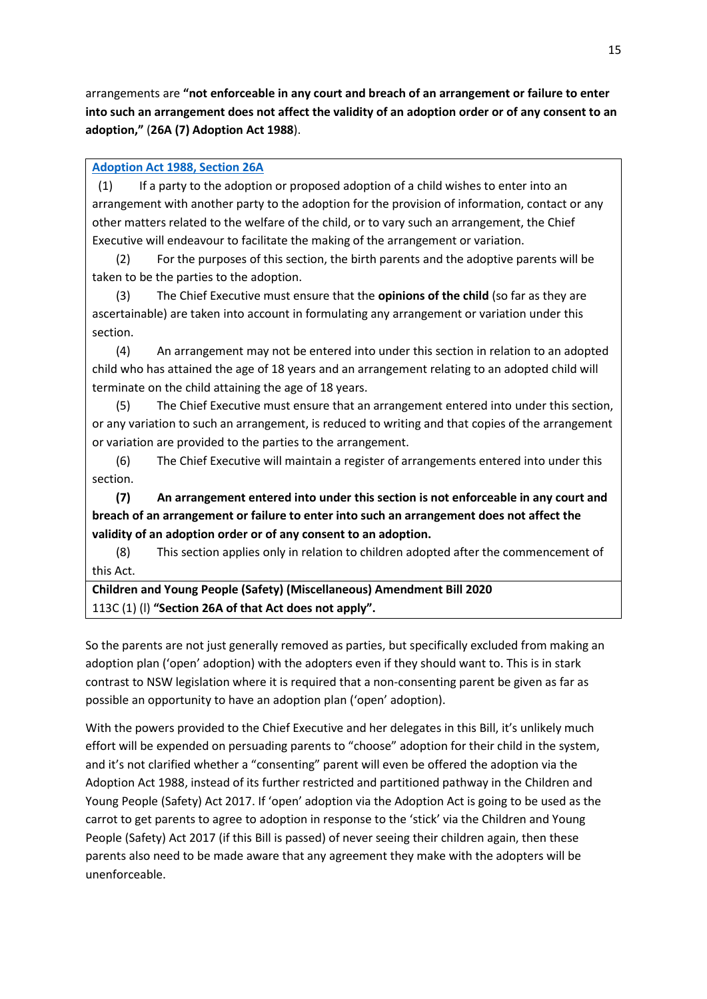arrangements are **"not enforceable in any court and breach of an arrangement or failure to enter into such an arrangement does not affect the validity of an adoption order or of any consent to an adoption,"** (**26A (7) Adoption Act 1988**).

#### **[Adoption Act 1988, Section 26A](http://www8.austlii.edu.au/cgi-bin/viewdoc/au/legis/sa/consol_act/aa1988107/s26a.html)**

 (1) If a party to the adoption or proposed adoption of a child wishes to enter into an arrangement with another party to the adoption for the provision of information, contact or any other matters related to the welfare of the child, or to vary such an arrangement, the Chief Executive will endeavour to facilitate the making of the arrangement or variation.

 (2) For the purposes of this section, the birth parents and the adoptive parents will be taken to be the parties to the adoption.

 (3) The Chief Executive must ensure that the **opinions of the child** (so far as they are ascertainable) are taken into account in formulating any arrangement or variation under this section.

 (4) An arrangement may not be entered into under this section in relation to an adopted child who has attained the age of 18 years and an arrangement relating to an adopted child will terminate on the child attaining the age of 18 years.

 (5) The Chief Executive must ensure that an arrangement entered into under this section, or any variation to such an arrangement, is reduced to writing and that copies of the arrangement or variation are provided to the parties to the arrangement.

 (6) The Chief Executive will maintain a register of arrangements entered into under this section.

 **(7) An arrangement entered into under this section is not enforceable in any court and breach of an arrangement or failure to enter into such an arrangement does not affect the validity of an adoption order or of any consent to an adoption.**

 (8) This section applies only in relation to children adopted after the commencement of this Act.

**Children and Young People (Safety) (Miscellaneous) Amendment Bill 2020** 113C (1) (l) **"Section 26A of that Act does not apply".**

So the parents are not just generally removed as parties, but specifically excluded from making an adoption plan ('open' adoption) with the adopters even if they should want to. This is in stark contrast to NSW legislation where it is required that a non-consenting parent be given as far as possible an opportunity to have an adoption plan ('open' adoption).

With the powers provided to the Chief Executive and her delegates in this Bill, it's unlikely much effort will be expended on persuading parents to "choose" adoption for their child in the system, and it's not clarified whether a "consenting" parent will even be offered the adoption via the Adoption Act 1988, instead of its further restricted and partitioned pathway in the Children and Young People (Safety) Act 2017. If 'open' adoption via the Adoption Act is going to be used as the carrot to get parents to agree to adoption in response to the 'stick' via the Children and Young People (Safety) Act 2017 (if this Bill is passed) of never seeing their children again, then these parents also need to be made aware that any agreement they make with the adopters will be unenforceable.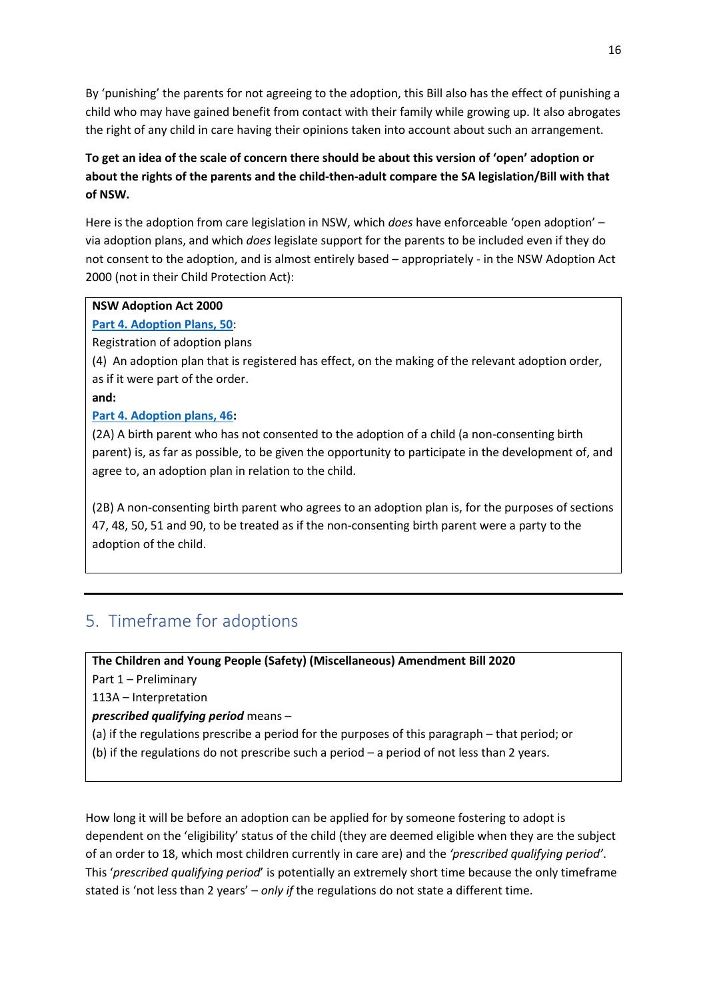By 'punishing' the parents for not agreeing to the adoption, this Bill also has the effect of punishing a child who may have gained benefit from contact with their family while growing up. It also abrogates the right of any child in care having their opinions taken into account about such an arrangement.

## **To get an idea of the scale of concern there should be about this version of 'open' adoption or about the rights of the parents and the child-then-adult compare the SA legislation/Bill with that of NSW.**

Here is the adoption from care legislation in NSW, which *does* have enforceable 'open adoption' – via adoption plans, and which *does* legislate support for the parents to be included even if they do not consent to the adoption, and is almost entirely based – appropriately - in the NSW Adoption Act 2000 (not in their Child Protection Act):

#### **NSW Adoption Act 2000**

#### **[Part 4. Adoption Plans, 50](https://www.legislation.nsw.gov.au/view/whole/html/inforce/current/act-2000-075#sec.50)**:

Registration of adoption plans

(4) An adoption plan that is registered has effect, on the making of the relevant adoption order, as if it were part of the order.

**and:**

#### **[Part 4. Adoption plans, 46:](https://www.legislation.nsw.gov.au/view/whole/html/inforce/current/act-2000-075#sec.46)**

(2A) A birth parent who has not consented to the adoption of a child (a non-consenting birth parent) is, as far as possible, to be given the opportunity to participate in the development of, and agree to, an adoption plan in relation to the child.

(2B) A non-consenting birth parent who agrees to an adoption plan is, for the purposes of sections 47, 48, 50, 51 and 90, to be treated as if the non-consenting birth parent were a party to the adoption of the child.

# <span id="page-15-0"></span>5. Timeframe for adoptions

**The Children and Young People (Safety) (Miscellaneous) Amendment Bill 2020**

Part 1 – Preliminary

113A – Interpretation

*prescribed qualifying period* means –

- (a) if the regulations prescribe a period for the purposes of this paragraph that period; or
- (b) if the regulations do not prescribe such a period a period of not less than 2 years.

How long it will be before an adoption can be applied for by someone fostering to adopt is dependent on the 'eligibility' status of the child (they are deemed eligible when they are the subject of an order to 18, which most children currently in care are) and the *'prescribed qualifying period'*. This '*prescribed qualifying period*' is potentially an extremely short time because the only timeframe stated is 'not less than 2 years' – *only if* the regulations do not state a different time.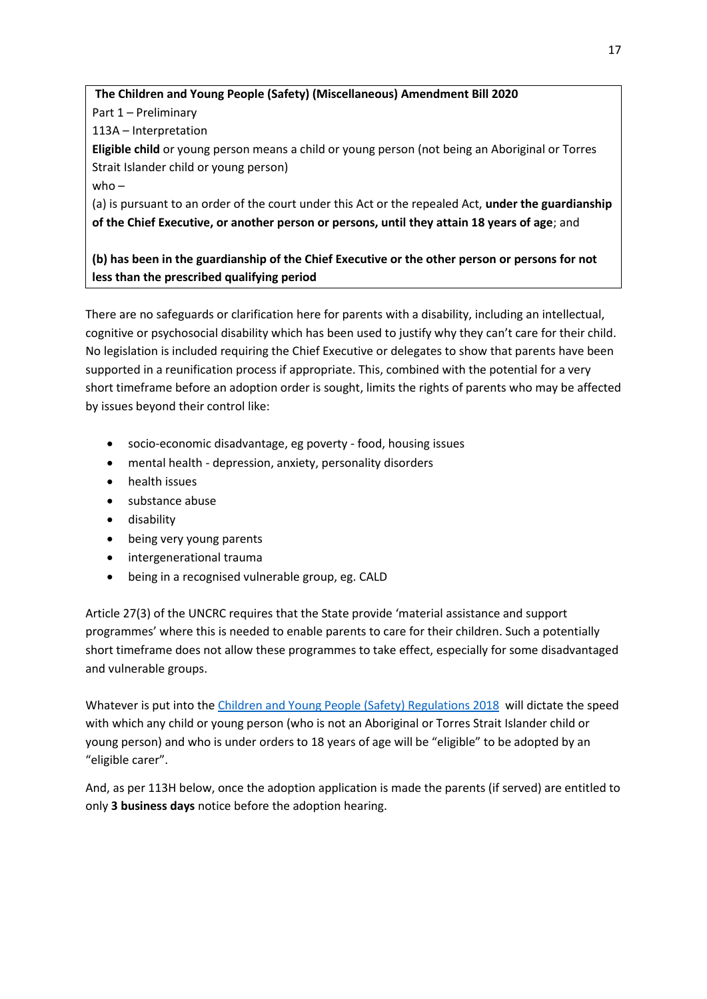**The Children and Young People (Safety) (Miscellaneous) Amendment Bill 2020** Part 1 – Preliminary 113A – Interpretation **Eligible child** or young person means a child or young person (not being an Aboriginal or Torres Strait Islander child or young person) who – (a) is pursuant to an order of the court under this Act or the repealed Act, **under the guardianship of the Chief Executive, or another person or persons, until they attain 18 years of age**; and

## **(b) has been in the guardianship of the Chief Executive or the other person or persons for not less than the prescribed qualifying period**

There are no safeguards or clarification here for parents with a disability, including an intellectual, cognitive or psychosocial disability which has been used to justify why they can't care for their child. No legislation is included requiring the Chief Executive or delegates to show that parents have been supported in a reunification process if appropriate. This, combined with the potential for a very short timeframe before an adoption order is sought, limits the rights of parents who may be affected by issues beyond their control like:

- socio-economic disadvantage, eg poverty food, housing issues
- mental health depression, anxiety, personality disorders
- health issues
- substance abuse
- disability
- being very young parents
- intergenerational trauma
- being in a recognised vulnerable group, eg. CALD

Article 27(3) of the UNCRC requires that the State provide 'material assistance and support programmes' where this is needed to enable parents to care for their children. Such a potentially short timeframe does not allow these programmes to take effect, especially for some disadvantaged and vulnerable groups.

Whatever is put into th[e Children and Young People \(Safety\) Regulations 2018](http://classic.austlii.edu.au/au/legis/sa/consol_reg/caypr2017421/) will dictate the speed with which any child or young person (who is not an Aboriginal or Torres Strait Islander child or young person) and who is under orders to 18 years of age will be "eligible" to be adopted by an "eligible carer".

And, as per 113H below, once the adoption application is made the parents (if served) are entitled to only **3 business days** notice before the adoption hearing.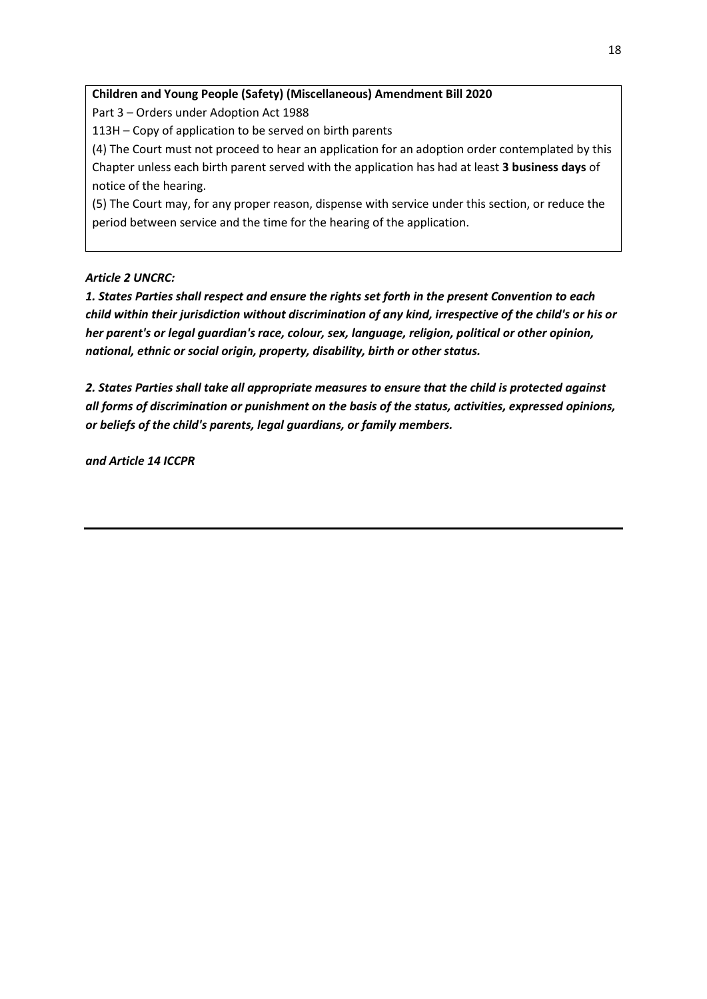#### **Children and Young People (Safety) (Miscellaneous) Amendment Bill 2020**

Part 3 – Orders under Adoption Act 1988

113H – Copy of application to be served on birth parents

(4) The Court must not proceed to hear an application for an adoption order contemplated by this Chapter unless each birth parent served with the application has had at least **3 business days** of notice of the hearing.

(5) The Court may, for any proper reason, dispense with service under this section, or reduce the period between service and the time for the hearing of the application.

#### *Article 2 UNCRC:*

*1. States Parties shall respect and ensure the rights set forth in the present Convention to each child within their jurisdiction without discrimination of any kind, irrespective of the child's or his or her parent's or legal guardian's race, colour, sex, language, religion, political or other opinion, national, ethnic or social origin, property, disability, birth or other status.*

*2. States Parties shall take all appropriate measures to ensure that the child is protected against all forms of discrimination or punishment on the basis of the status, activities, expressed opinions, or beliefs of the child's parents, legal guardians, or family members.*

*and Article 14 ICCPR*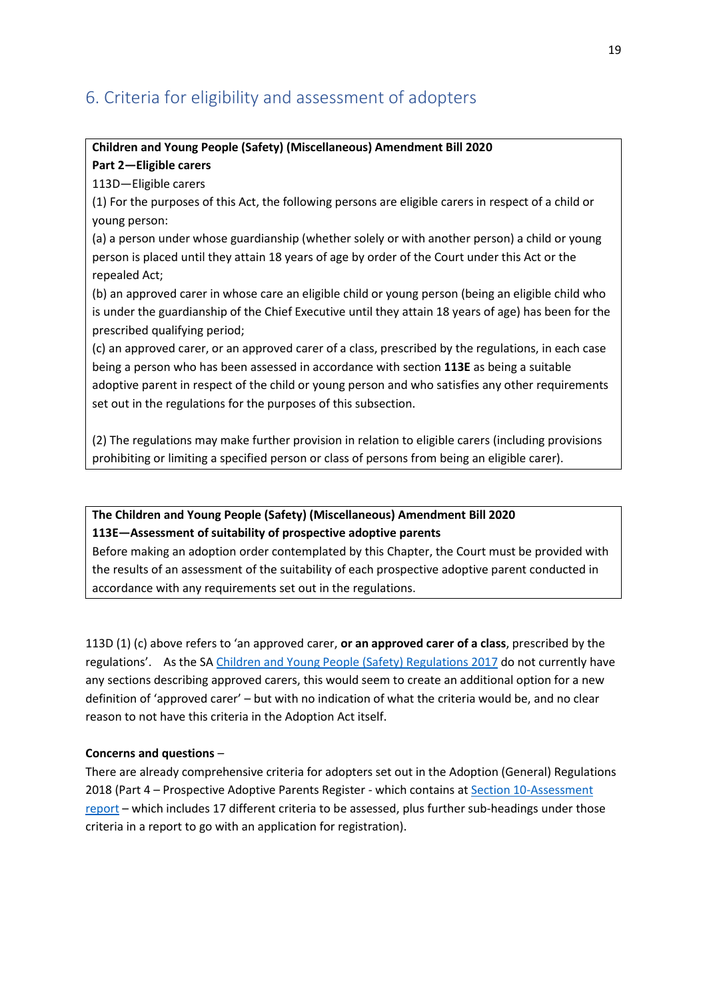## <span id="page-18-0"></span>6. Criteria for eligibility and assessment of adopters

# **Children and Young People (Safety) (Miscellaneous) Amendment Bill 2020**

## **Part 2—Eligible carers**

113D—Eligible carers

(1) For the purposes of this Act, the following persons are eligible carers in respect of a child or young person:

(a) a person under whose guardianship (whether solely or with another person) a child or young person is placed until they attain 18 years of age by order of the Court under this Act or the repealed Act;

(b) an approved carer in whose care an eligible child or young person (being an eligible child who is under the guardianship of the Chief Executive until they attain 18 years of age) has been for the prescribed qualifying period;

(c) an approved carer, or an approved carer of a class, prescribed by the regulations, in each case being a person who has been assessed in accordance with section **113E** as being a suitable adoptive parent in respect of the child or young person and who satisfies any other requirements set out in the regulations for the purposes of this subsection.

(2) The regulations may make further provision in relation to eligible carers (including provisions prohibiting or limiting a specified person or class of persons from being an eligible carer).

### **The Children and Young People (Safety) (Miscellaneous) Amendment Bill 2020 113E—Assessment of suitability of prospective adoptive parents**

Before making an adoption order contemplated by this Chapter, the Court must be provided with the results of an assessment of the suitability of each prospective adoptive parent conducted in accordance with any requirements set out in the regulations.

113D (1) (c) above refers to 'an approved carer, **or an approved carer of a class**, prescribed by the regulations'. As the SA [Children and Young People \(Safety\) Regulations 2017](http://classic.austlii.edu.au/au/legis/sa/consol_reg/caypr2017421/) do not currently have any sections describing approved carers, this would seem to create an additional option for a new definition of 'approved carer' – but with no indication of what the criteria would be, and no clear reason to not have this criteria in the Adoption Act itself.

#### **Concerns and questions** –

There are already comprehensive criteria for adopters set out in the Adoption (General) Regulations 2018 (Part 4 – Prospective Adoptive Parents Register - which contains a[t Section 10-Assessment](http://classic.austlii.edu.au/au/legis/sa/consol_reg/ar2018271/s10.html)  [report](http://classic.austlii.edu.au/au/legis/sa/consol_reg/ar2018271/s10.html) – which includes 17 different criteria to be assessed, plus further sub-headings under those criteria in a report to go with an application for registration).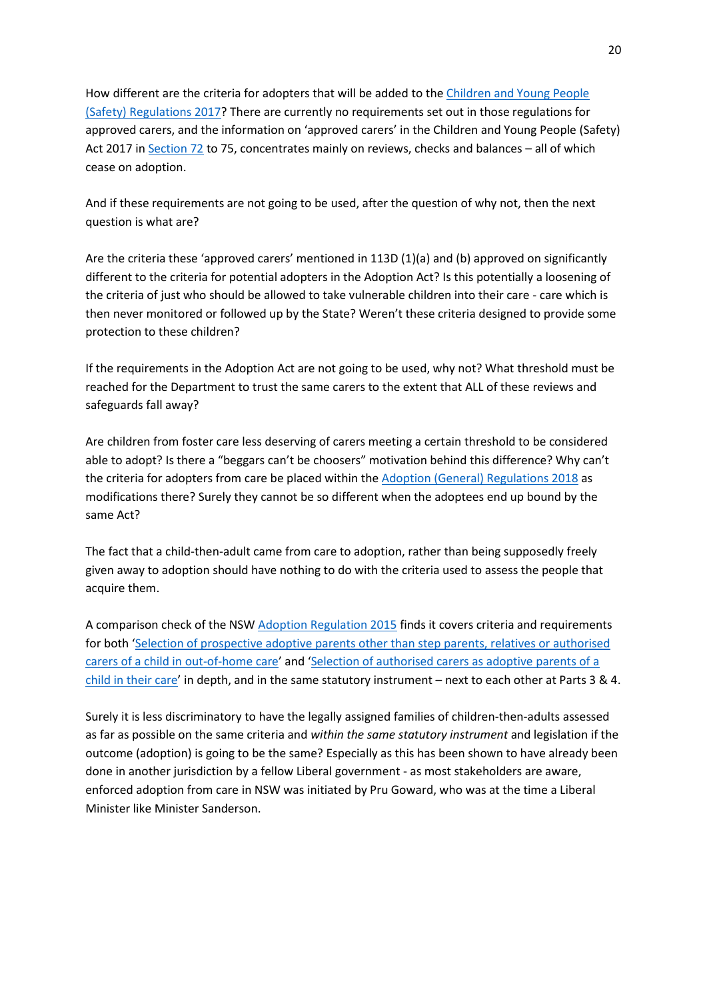How different are the criteria for adopters that will be added to the [Children and Young People](http://classic.austlii.edu.au/au/legis/sa/consol_reg/caypr2017421/)  [\(Safety\) Regulations 2017?](http://classic.austlii.edu.au/au/legis/sa/consol_reg/caypr2017421/) There are currently no requirements set out in those regulations for approved carers, and the information on 'approved carers' in the Children and Young People (Safety) Act 2017 in [Section 72](http://classic.austlii.edu.au/au/legis/sa/consol_act/caypa2017312/s72.html) to 75, concentrates mainly on reviews, checks and balances – all of which cease on adoption.

And if these requirements are not going to be used, after the question of why not, then the next question is what are?

Are the criteria these 'approved carers' mentioned in 113D (1)(a) and (b) approved on significantly different to the criteria for potential adopters in the Adoption Act? Is this potentially a loosening of the criteria of just who should be allowed to take vulnerable children into their care - care which is then never monitored or followed up by the State? Weren't these criteria designed to provide some protection to these children?

If the requirements in the Adoption Act are not going to be used, why not? What threshold must be reached for the Department to trust the same carers to the extent that ALL of these reviews and safeguards fall away?

Are children from foster care less deserving of carers meeting a certain threshold to be considered able to adopt? Is there a "beggars can't be choosers" motivation behind this difference? Why can't the criteria for adopters from care be placed within the [Adoption \(General\) Regulations 2018](http://classic.austlii.edu.au/au/legis/sa/consol_reg/ar2018271/s10.html) as modifications there? Surely they cannot be so different when the adoptees end up bound by the same Act?

The fact that a child-then-adult came from care to adoption, rather than being supposedly freely given away to adoption should have nothing to do with the criteria used to assess the people that acquire them.

A comparison check of the NSW [Adoption Regulation 2015](https://www.legislation.nsw.gov.au/view/whole/html/inforce/current/sl-2015-0490) finds it covers criteria and requirements for both '[Selection of prospective adoptive parents other than step parents, relatives or authorised](https://www.legislation.nsw.gov.au/view/html/inforce/current/sl-2015-0490#pt.3)  [carers of a child in out-of-home care](https://www.legislation.nsw.gov.au/view/html/inforce/current/sl-2015-0490#pt.3)' and '[Selection of authorised carers as adoptive parents of a](https://www.legislation.nsw.gov.au/view/html/inforce/current/sl-2015-0490#pt.4)  [child in their care](https://www.legislation.nsw.gov.au/view/html/inforce/current/sl-2015-0490#pt.4)' in depth, and in the same statutory instrument – next to each other at Parts 3 & 4.

Surely it is less discriminatory to have the legally assigned families of children-then-adults assessed as far as possible on the same criteria and *within the same statutory instrument* and legislation if the outcome (adoption) is going to be the same? Especially as this has been shown to have already been done in another jurisdiction by a fellow Liberal government - as most stakeholders are aware, enforced adoption from care in NSW was initiated by Pru Goward, who was at the time a Liberal Minister like Minister Sanderson.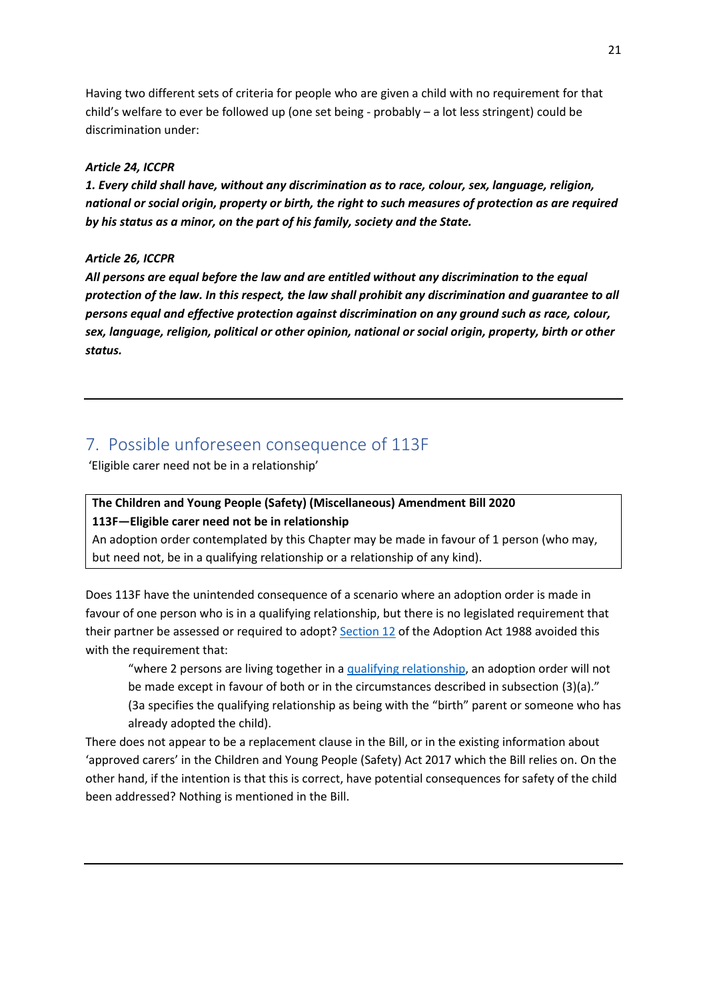Having two different sets of criteria for people who are given a child with no requirement for that child's welfare to ever be followed up (one set being - probably – a lot less stringent) could be discrimination under:

#### *Article 24, ICCPR*

*1. Every child shall have, without any discrimination as to race, colour, sex, language, religion, national or social origin, property or birth, the right to such measures of protection as are required by his status as a minor, on the part of his family, society and the State.*

#### *Article 26, ICCPR*

*All persons are equal before the law and are entitled without any discrimination to the equal protection of the law. In this respect, the law shall prohibit any discrimination and guarantee to all persons equal and effective protection against discrimination on any ground such as race, colour, sex, language, religion, political or other opinion, national or social origin, property, birth or other status.*

## <span id="page-20-0"></span>7. Possible unforeseen consequence of 113F

'Eligible carer need not be in a relationship'

# **The Children and Young People (Safety) (Miscellaneous) Amendment Bill 2020**

#### **113F—Eligible carer need not be in relationship**

An adoption order contemplated by this Chapter may be made in favour of 1 person (who may, but need not, be in a qualifying relationship or a relationship of any kind).

Does 113F have the unintended consequence of a scenario where an adoption order is made in favour of one person who is in a qualifying relationship, but there is no legislated requirement that their partner be assessed or required to adopt[? Section 12](http://www8.austlii.edu.au/cgi-bin/viewdoc/au/legis/sa/consol_act/aa1988107/s12.html) of the Adoption Act 1988 avoided this with the requirement that:

"where 2 persons are living together in a [qualifying relationship,](http://www5.austlii.edu.au/au/legis/sa/consol_act/aa1988107/s4.html#qualifying_relationship) an adoption order will not be made except in favour of both or in the circumstances described in subsection (3)(a)." (3a specifies the qualifying relationship as being with the "birth" parent or someone who has already adopted the child).

There does not appear to be a replacement clause in the Bill, or in the existing information about 'approved carers' in the Children and Young People (Safety) Act 2017 which the Bill relies on. On the other hand, if the intention is that this is correct, have potential consequences for safety of the child been addressed? Nothing is mentioned in the Bill.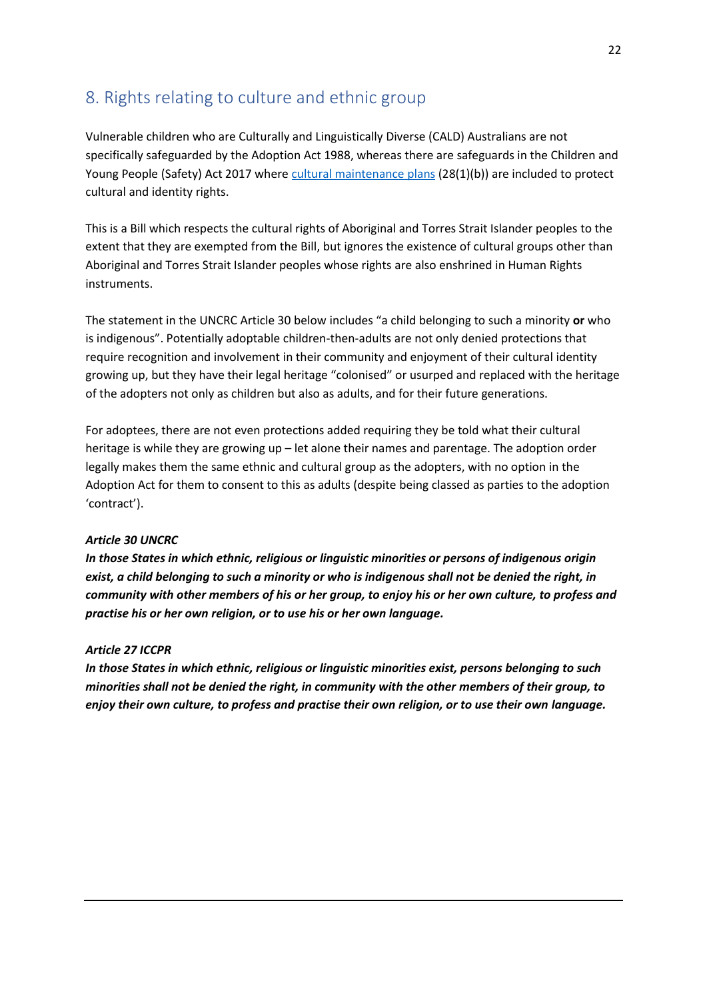## <span id="page-21-0"></span>8. Rights relating to culture and ethnic group

Vulnerable children who are Culturally and Linguistically Diverse (CALD) Australians are not specifically safeguarded by the Adoption Act 1988, whereas there are safeguards in the Children and Young People (Safety) Act 2017 where [cultural maintenance plans](http://classic.austlii.edu.au/au/legis/sa/consol_act/caypa2017312/s28.html) (28(1)(b)) are included to protect cultural and identity rights.

This is a Bill which respects the cultural rights of Aboriginal and Torres Strait Islander peoples to the extent that they are exempted from the Bill, but ignores the existence of cultural groups other than Aboriginal and Torres Strait Islander peoples whose rights are also enshrined in Human Rights instruments.

The statement in the UNCRC Article 30 below includes "a child belonging to such a minority **or** who is indigenous". Potentially adoptable children-then-adults are not only denied protections that require recognition and involvement in their community and enjoyment of their cultural identity growing up, but they have their legal heritage "colonised" or usurped and replaced with the heritage of the adopters not only as children but also as adults, and for their future generations.

For adoptees, there are not even protections added requiring they be told what their cultural heritage is while they are growing up – let alone their names and parentage. The adoption order legally makes them the same ethnic and cultural group as the adopters, with no option in the Adoption Act for them to consent to this as adults (despite being classed as parties to the adoption 'contract').

#### *Article 30 UNCRC*

*In those States in which ethnic, religious or linguistic minorities or persons of indigenous origin exist, a child belonging to such a minority or who is indigenous shall not be denied the right, in community with other members of his or her group, to enjoy his or her own culture, to profess and practise his or her own religion, or to use his or her own language.*

#### *Article 27 ICCPR*

*In those States in which ethnic, religious or linguistic minorities exist, persons belonging to such minorities shall not be denied the right, in community with the other members of their group, to enjoy their own culture, to profess and practise their own religion, or to use their own language.*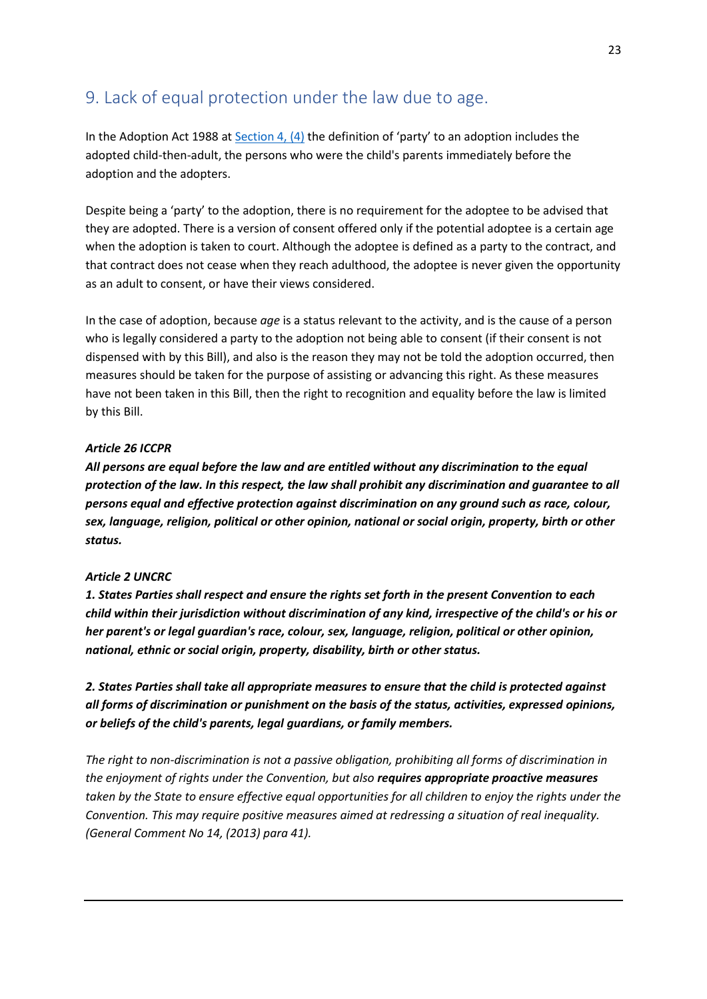## <span id="page-22-0"></span>9. Lack of equal protection under the law due to age.

In the Adoption Act 1988 at [Section 4, \(4\)](http://www8.austlii.edu.au/cgi-bin/viewdoc/au/legis/sa/consol_act/aa1988107/s4.html) the definition of 'party' to an adoption includes the adopted child-then-adult, the persons who were the child's parents immediately before the adoption and the adopters.

Despite being a 'party' to the adoption, there is no requirement for the adoptee to be advised that they are adopted. There is a version of consent offered only if the potential adoptee is a certain age when the adoption is taken to court. Although the adoptee is defined as a party to the contract, and that contract does not cease when they reach adulthood, the adoptee is never given the opportunity as an adult to consent, or have their views considered.

In the case of adoption, because *age* is a status relevant to the activity, and is the cause of a person who is legally considered a party to the adoption not being able to consent (if their consent is not dispensed with by this Bill), and also is the reason they may not be told the adoption occurred, then measures should be taken for the purpose of assisting or advancing this right. As these measures have not been taken in this Bill, then the right to recognition and equality before the law is limited by this Bill.

#### *Article 26 ICCPR*

*All persons are equal before the law and are entitled without any discrimination to the equal protection of the law. In this respect, the law shall prohibit any discrimination and guarantee to all persons equal and effective protection against discrimination on any ground such as race, colour, sex, language, religion, political or other opinion, national or social origin, property, birth or other status.*

#### *Article 2 UNCRC*

*1. States Parties shall respect and ensure the rights set forth in the present Convention to each child within their jurisdiction without discrimination of any kind, irrespective of the child's or his or her parent's or legal guardian's race, colour, sex, language, religion, political or other opinion, national, ethnic or social origin, property, disability, birth or other status.*

*2. States Parties shall take all appropriate measures to ensure that the child is protected against all forms of discrimination or punishment on the basis of the status, activities, expressed opinions, or beliefs of the child's parents, legal guardians, or family members.*

*The right to non-discrimination is not a passive obligation, prohibiting all forms of discrimination in the enjoyment of rights under the Convention, but also requires appropriate proactive measures taken by the State to ensure effective equal opportunities for all children to enjoy the rights under the Convention. This may require positive measures aimed at redressing a situation of real inequality. (General Comment No 14, (2013) para 41).*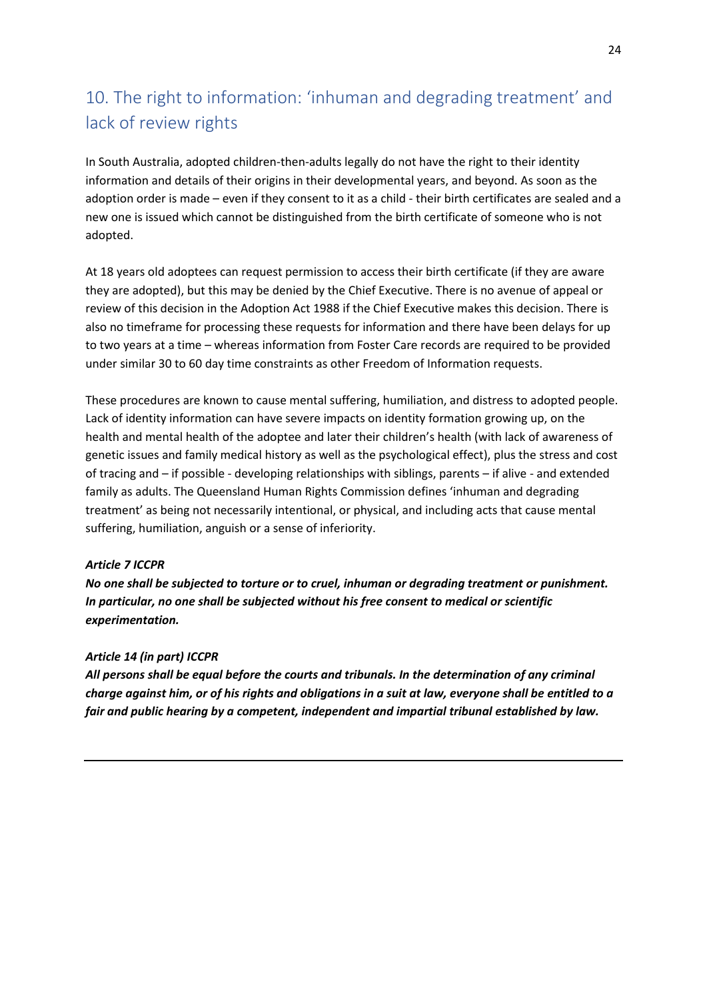# <span id="page-23-0"></span>10. The right to information: 'inhuman and degrading treatment' and lack of review rights

In South Australia, adopted children-then-adults legally do not have the right to their identity information and details of their origins in their developmental years, and beyond. As soon as the adoption order is made – even if they consent to it as a child - their birth certificates are sealed and a new one is issued which cannot be distinguished from the birth certificate of someone who is not adopted.

At 18 years old adoptees can request permission to access their birth certificate (if they are aware they are adopted), but this may be denied by the Chief Executive. There is no avenue of appeal or review of this decision in the Adoption Act 1988 if the Chief Executive makes this decision. There is also no timeframe for processing these requests for information and there have been delays for up to two years at a time – whereas information from Foster Care records are required to be provided under similar 30 to 60 day time constraints as other Freedom of Information requests.

These procedures are known to cause mental suffering, humiliation, and distress to adopted people. Lack of identity information can have severe impacts on identity formation growing up, on the health and mental health of the adoptee and later their children's health (with lack of awareness of genetic issues and family medical history as well as the psychological effect), plus the stress and cost of tracing and – if possible - developing relationships with siblings, parents – if alive - and extended family as adults. The Queensland Human Rights Commission defines 'inhuman and degrading treatment' as being not necessarily intentional, or physical, and including acts that cause mental suffering, humiliation, anguish or a sense of inferiority.

#### *Article 7 ICCPR*

*No one shall be subjected to torture or to cruel, inhuman or degrading treatment or punishment. In particular, no one shall be subjected without his free consent to medical or scientific experimentation.*

#### *Article 14 (in part) ICCPR*

*All persons shall be equal before the courts and tribunals. In the determination of any criminal charge against him, or of his rights and obligations in a suit at law, everyone shall be entitled to a fair and public hearing by a competent, independent and impartial tribunal established by law.*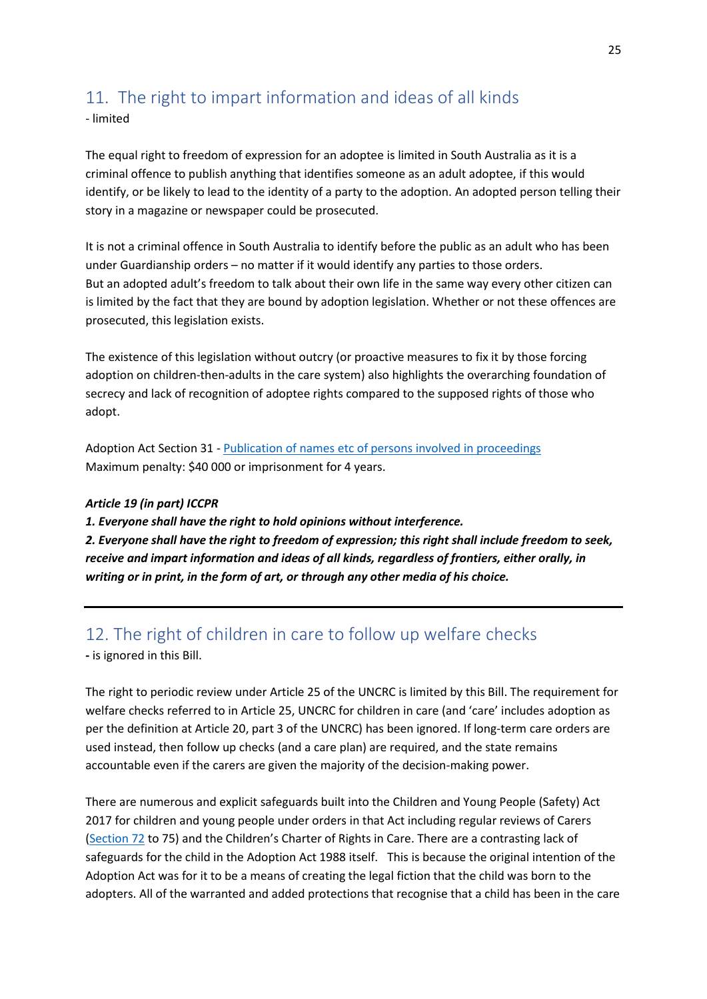# <span id="page-24-0"></span>11. The right to impart information and ideas of all kinds

- limited

The equal right to freedom of expression for an adoptee is limited in South Australia as it is a criminal offence to publish anything that identifies someone as an adult adoptee, if this would identify, or be likely to lead to the identity of a party to the adoption. An adopted person telling their story in a magazine or newspaper could be prosecuted.

It is not a criminal offence in South Australia to identify before the public as an adult who has been under Guardianship orders – no matter if it would identify any parties to those orders. But an adopted adult's freedom to talk about their own life in the same way every other citizen can is limited by the fact that they are bound by adoption legislation. Whether or not these offences are prosecuted, this legislation exists.

The existence of this legislation without outcry (or proactive measures to fix it by those forcing adoption on children-then-adults in the care system) also highlights the overarching foundation of secrecy and lack of recognition of adoptee rights compared to the supposed rights of those who adopt.

Adoption Act Section 31 - [Publication of names etc of persons involved](http://www8.austlii.edu.au/cgi-bin/viewdoc/au/legis/sa/consol_act/aa1988107/s31.html) in proceedings Maximum penalty: \$40 000 or imprisonment for 4 years.

#### *Article 19 (in part) ICCPR*

*1. Everyone shall have the right to hold opinions without interference.* 

*2. Everyone shall have the right to freedom of expression; this right shall include freedom to seek, receive and impart information and ideas of all kinds, regardless of frontiers, either orally, in writing or in print, in the form of art, or through any other media of his choice.* 

## <span id="page-24-1"></span>12. The right of children in care to follow up welfare checks

**-** is ignored in this Bill.

The right to periodic review under Article 25 of the UNCRC is limited by this Bill. The requirement for welfare checks referred to in Article 25, UNCRC for children in care (and 'care' includes adoption as per the definition at Article 20, part 3 of the UNCRC) has been ignored. If long-term care orders are used instead, then follow up checks (and a care plan) are required, and the state remains accountable even if the carers are given the majority of the decision-making power.

There are numerous and explicit safeguards built into the Children and Young People (Safety) Act 2017 for children and young people under orders in that Act including regular reviews of Carers [\(Section 72](http://classic.austlii.edu.au/au/legis/sa/consol_act/caypa2017312/s72.html) to 75) and the Children's Charter of Rights in Care. There are a contrasting lack of safeguards for the child in the Adoption Act 1988 itself. This is because the original intention of the Adoption Act was for it to be a means of creating the legal fiction that the child was born to the adopters. All of the warranted and added protections that recognise that a child has been in the care